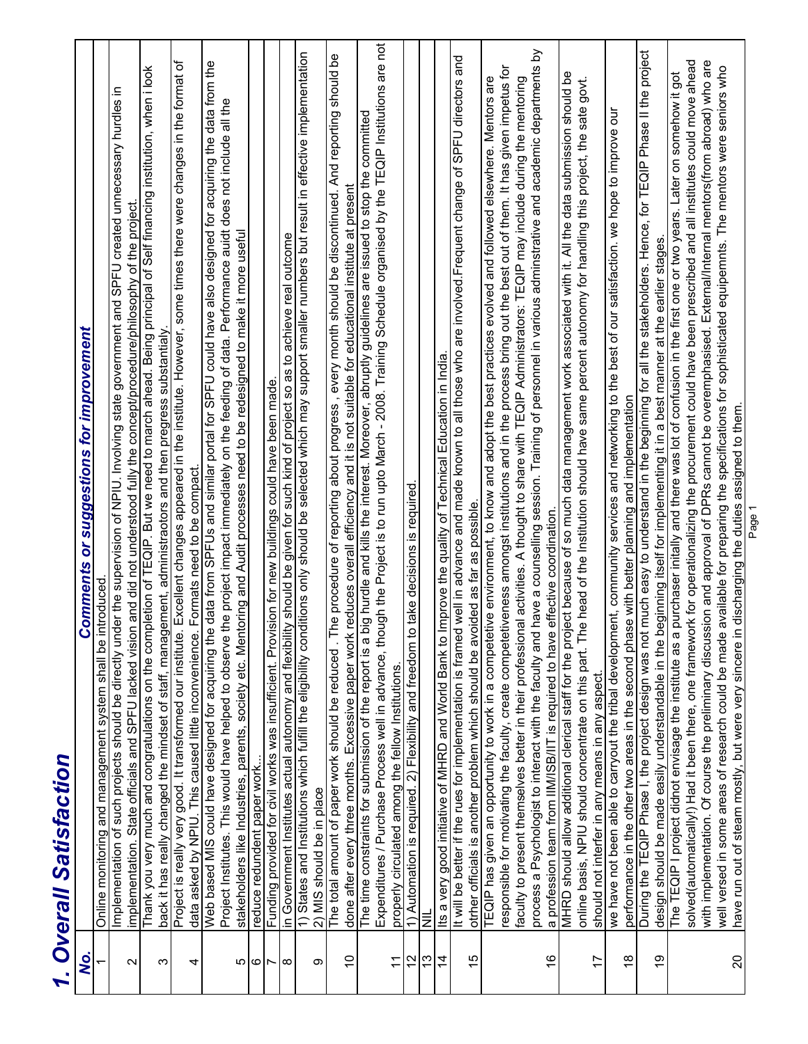|                | 1. Overall Satisfaction                                                                                                                                                                                                                                                                                                           |
|----------------|-----------------------------------------------------------------------------------------------------------------------------------------------------------------------------------------------------------------------------------------------------------------------------------------------------------------------------------|
| Q,             | <b>Comments or suggestions for improvement</b>                                                                                                                                                                                                                                                                                    |
|                | Online monitoring and management system shall be introduced                                                                                                                                                                                                                                                                       |
| $\sim$         | Implementation of such projects should be directly under the supervision of NPIU. Involving state government and SPFU created unnecessary hurdles in<br>implementation. State officials and SPFU lacked vision and did not understood fully the concept/procedure/philosophy of the project.                                      |
| က              | Thank you very much and congratulations on the completion of TEQIP. But we need to march ahead. Being principal of Self financing institution, when i look<br>back it has really changed the mindset of staff, management, administraotors and then pregress substantialy                                                         |
|                | Excellent changes appeared in the institute. However, some times there were changes in the format of<br>Project is really very good. It transformed our institute.                                                                                                                                                                |
| 4              | Formats need to be compact.<br>data asked by NPIU. This caused little inconvenience.                                                                                                                                                                                                                                              |
|                | Web based MIS could have designed for acquiring the data from SPFUs and similar portal for SPFU could have also designed for acquiring the data from the<br>Project Institutes. This would have helped to observe the project impact immediately on the feeding of data. Performance auidt does not include all the               |
|                | stakeholders like Industries, parents, society etc. Mentoring and Audit processes need to be redesigned to make it more useful                                                                                                                                                                                                    |
| ഥ∣ര∣⊳∣യ        | reduce redundent paper work                                                                                                                                                                                                                                                                                                       |
|                | Funding provided for civil works was insufficient. Provision for new buildings could have been made.                                                                                                                                                                                                                              |
|                | ty should be given for such kind of project so as to achieve real outcome<br>in Government Institutes actual autonomy and flexibili                                                                                                                                                                                               |
| თ              | 1) States and Institutions which fulfill the eligibility conditions only should be selected which may support smaller numbers but result in effective implementation<br>2) MIS should be in place                                                                                                                                 |
| $\tilde{0}$    | he procedure of reporting about progress, every month should be discontinued. And reporting should be<br>done after every three months. Excessive paper work reduces overall efficiency and it is not suitable for educational institute at present<br>The total amount of paper work should be reduced. T                        |
|                |                                                                                                                                                                                                                                                                                                                                   |
|                | Expenditures / Purchase Process well in advance, though the Project is to run upto March - 2008. Training Schedule organised by the TEQIP Institutions are not<br>big hurdle and kills the interest. Moreover, abruptly guidelines are issued to stop the committed<br>The time constraints for submission of the report is a     |
| $\tilde{\tau}$ | properly circulated among the fellow Institutions.                                                                                                                                                                                                                                                                                |
| 51             | 1) Automation is required. 2) Flexibility and freedom to take decisions is required.                                                                                                                                                                                                                                              |
| $\frac{3}{2}$  | <b>TIN</b>                                                                                                                                                                                                                                                                                                                        |
| $\overline{4}$ | Improve the quality of Technical Education in India<br>Its a very good initiative of MHRD and World Bank to                                                                                                                                                                                                                       |
| 15             | It will be better if the rues for implementation is framed well in advance and made known to all those who are involved. Frequent change of SPFU directors and<br>otrher officials is another problem which should be avoided as far as possible                                                                                  |
|                |                                                                                                                                                                                                                                                                                                                                   |
|                | responsible for motivating the faculty, create competetiveness amongst institutions and in the process bring out the best out of them. It has given impetus for<br>TEQIP has given an opportunity to work in a competetive environment, to know and adopt the best practices evolved and followed elsewhere. Mentors are          |
|                | faculty to present themselves better in their professional activities. A thought to share with TEQIP Administrators: TEQIP may include during the mentoring                                                                                                                                                                       |
|                | have a counselling session. Training of personnel in various adminstrative and academic departments by<br>process a Psychologist to interact with the faculty and                                                                                                                                                                 |
| $\frac{6}{5}$  | effective coordination.<br>a profession team from IIM/ISB/IIT is required to have                                                                                                                                                                                                                                                 |
|                | ject because of so much data management work associated with it. All the data submission should be<br>e head of the Institution should have same percent autonomy for handling this project, the sate govt.<br>MHRD should allow additional clerical staff for the pro-<br>online basis, NPIU should concentrate on this part. Th |
| 17             | should not interfer in any means in any aspect.                                                                                                                                                                                                                                                                                   |
|                | ent, community services and networking to the best of our satisfaction. we hope to improve our<br>we have not been able to carryout the tribal developm                                                                                                                                                                           |
| $\frac{8}{1}$  | performance in the other two areas in the second phase with better planning and implementation                                                                                                                                                                                                                                    |
| $\overline{9}$ | During the TEQIP Phase I, the project design was not much easy to understand in the beginning for all the stakeholders. Hence, for TEQIP Phase II the project<br>design should be made easily understandable in the beginning itself for implementing it in a best manner at the earlier stages.                                  |
|                | purchaser initally and there was lot of confusion in the first one or two years. Later on somehow it got<br>The TEQIP I project didnot envisage the institute as a                                                                                                                                                                |
|                | solved(automatically!) Had it been there, one framework for operationalizing the procurement could have been prescribed and all institutes could move ahead<br>with implementation. Of course the preliminary discussion and approval of DPRs cannot be overemphasised. External/Internal mentors(from abroad) who are            |
|                | available for preparing the specifications for sophisticated equipemnts. The mentors were seniors who<br>well versed in some areas of research could be made                                                                                                                                                                      |
| $\Omega$       | have run out of steam mostly, but were very sincere in discharging the duties assigned to them.                                                                                                                                                                                                                                   |
|                | Page 1                                                                                                                                                                                                                                                                                                                            |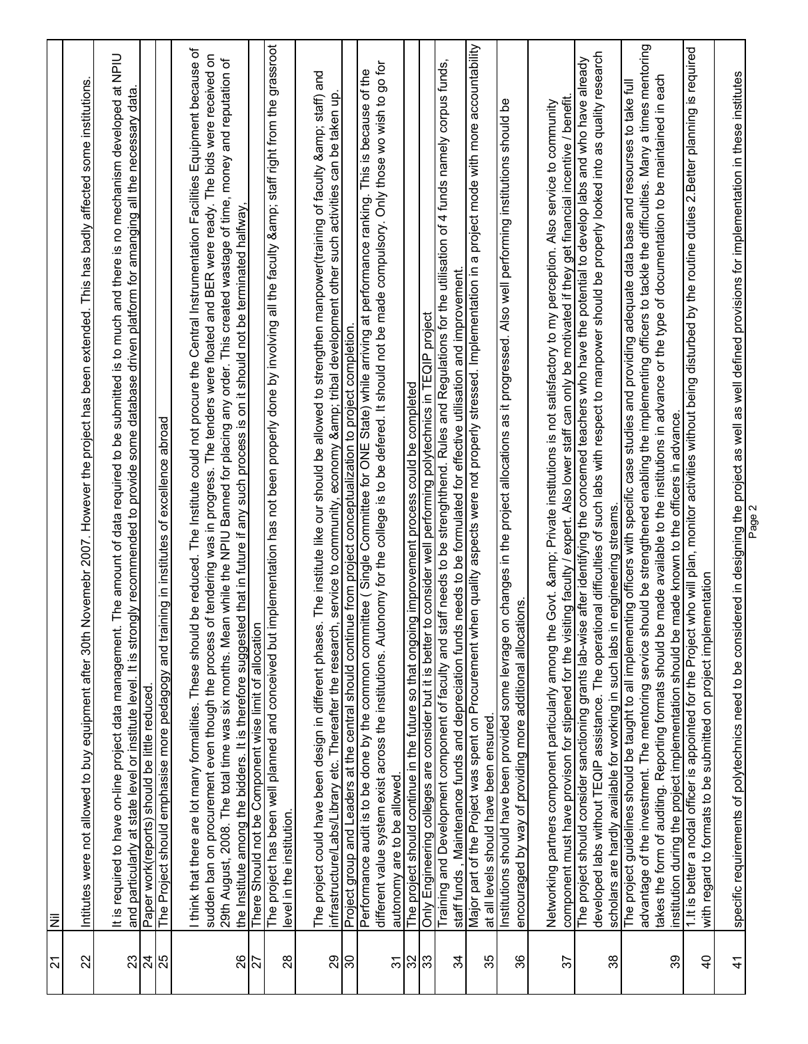| 24              | $\bar{z}$                                                                                                                                                                                                                                                                                                                                                                                                                                                                                                                                                                                                                         |
|-----------------|-----------------------------------------------------------------------------------------------------------------------------------------------------------------------------------------------------------------------------------------------------------------------------------------------------------------------------------------------------------------------------------------------------------------------------------------------------------------------------------------------------------------------------------------------------------------------------------------------------------------------------------|
| 22              | Novemebr 2007. However the project has been extended. This has badly affected some institutions.<br>Intitutes were not allowed to buy equipment after 30th                                                                                                                                                                                                                                                                                                                                                                                                                                                                        |
| 23              | The amount of data required to be submitted is to much and there is no mechanism developed at NPIU<br>and particularly at state level or institute level. It is strongly recommended to provide some database driven platform for amanging all the necessary data.<br>It is required to have on-line project data management.                                                                                                                                                                                                                                                                                                     |
| 24<br>25        | The Project should emphasise more pedagogy and training in institutes of excellence abroad<br>Paper work(reports) should be little reduced.                                                                                                                                                                                                                                                                                                                                                                                                                                                                                       |
| 88              | think that there are lot many formalities. These should be reduced. The Institute could not procure the Central Instrumentation Facilities Equipment because of<br>sudden ban on procurement even though the process of tendering was in progress. The tenders were floated and BER were ready. The bids were received on<br>29th August, 2008. The total time was six months. Mean while the NPIU Banned for placing any order. This created wastage of time, money and reputation of<br>the Institute among the bidders. It is therefore suggested that in future if any such process is on it should not be terminated halfway |
| 27              | There Should not be Component wise limit of allocation                                                                                                                                                                                                                                                                                                                                                                                                                                                                                                                                                                            |
| 28              | The project has been well planned and conceived but implementation has not been properly done by involving all the faculty & staff right from the grassroot<br>level in the institution.                                                                                                                                                                                                                                                                                                                                                                                                                                          |
| 29              | . The institute like our should be allowed to strengthen manpower(training of faculty & staff) and<br>, service to community, economy & tribal development other such activities can be taken up<br>The project could have been design in different phases<br>infrastructure/Labs/Library etc. Thereafter the research                                                                                                                                                                                                                                                                                                            |
| ခြ              | Project group and Leaders at the central should continue from project conceptualization to project completion                                                                                                                                                                                                                                                                                                                                                                                                                                                                                                                     |
| $\overline{5}$  | different value system exist across the institutions. Autonomy for the college is to be defered. It should not be made compulsory. Only those wo wish to go for<br>Performance audit is to be done by the common committee (Single Committee for ONE State) while arriving at performance ranking. This is because of the<br>autonomy are to be allowed.                                                                                                                                                                                                                                                                          |
| $\frac{32}{33}$ | The project should continue in the future so that ongoing improvement process could be completed                                                                                                                                                                                                                                                                                                                                                                                                                                                                                                                                  |
|                 | Only Engineering colleges are consider but it is better to consider well performing polytechnics in TEQIP project                                                                                                                                                                                                                                                                                                                                                                                                                                                                                                                 |
| 34              | Training and Development component of faculty and staff needs to be strenghthend. Rules and Regulations for the utilisation of 4 funds namely corpus funds,<br>staff funds, Maintenance funds and depreciation funds needs to be formulated for effective utilisation and improvement                                                                                                                                                                                                                                                                                                                                             |
| 35              | Major part of the Project was spent on Procurement when quality aspects were not properly stressed. Implementation in a project mode with more accountability<br>at all levels should have been ensured.                                                                                                                                                                                                                                                                                                                                                                                                                          |
| 36              | Institutions should have been provided some levrage on changes in the project allocations as it progressed. Also well performing institutions should be<br>encouraged by way of providing more additional allocations.                                                                                                                                                                                                                                                                                                                                                                                                            |
| 57              | component must have provison for stipened for the visiting faculty / expert. Also lower staff can only be motivated if they get financial incentive / benefit.<br>Networking partners component particularly among the Govt. & Private institutions is not satisfactory to my perception. Also service to community                                                                                                                                                                                                                                                                                                               |
| 38              | developed labs without TEQIP assistance. The operational difficulties of such labs with respect to manpower should be properly looked into as quality research<br>The project should consider sanctioning grants lab-wise after identifying the concerned teachers who have the potential to develop labs and who have already<br>scholars are hardly available for working in such labs in engineering streams.                                                                                                                                                                                                                  |
|                 | advantage of the investment. The mentoring service should be strengthened enabling the implementing officers to tackle the difficulties. Many a times mentoring<br>takes the form of auditing. Reporting formats should be made available to the institutions in advance or the type of documentation to be maintained in each<br>The project guidelines should be taught to all implementing officers with specific case studies and providing adequate data base and resourses to take full                                                                                                                                     |
| 39              | institution during the project implementation should be made known to the officers in advance.                                                                                                                                                                                                                                                                                                                                                                                                                                                                                                                                    |
| $\overline{4}$  | 1.It is better a nodal officer is appointed for the Project who will plan, monitor activities without being disturbed by the routine duties 2.Better planning is required<br>with regard to formats to be submitted on project implementation                                                                                                                                                                                                                                                                                                                                                                                     |
| $\frac{4}{1}$   | specific requirements of polytechnics need to be considered in designing the project as well as well defined provisions for implementation in these institutes                                                                                                                                                                                                                                                                                                                                                                                                                                                                    |
|                 | Page 2                                                                                                                                                                                                                                                                                                                                                                                                                                                                                                                                                                                                                            |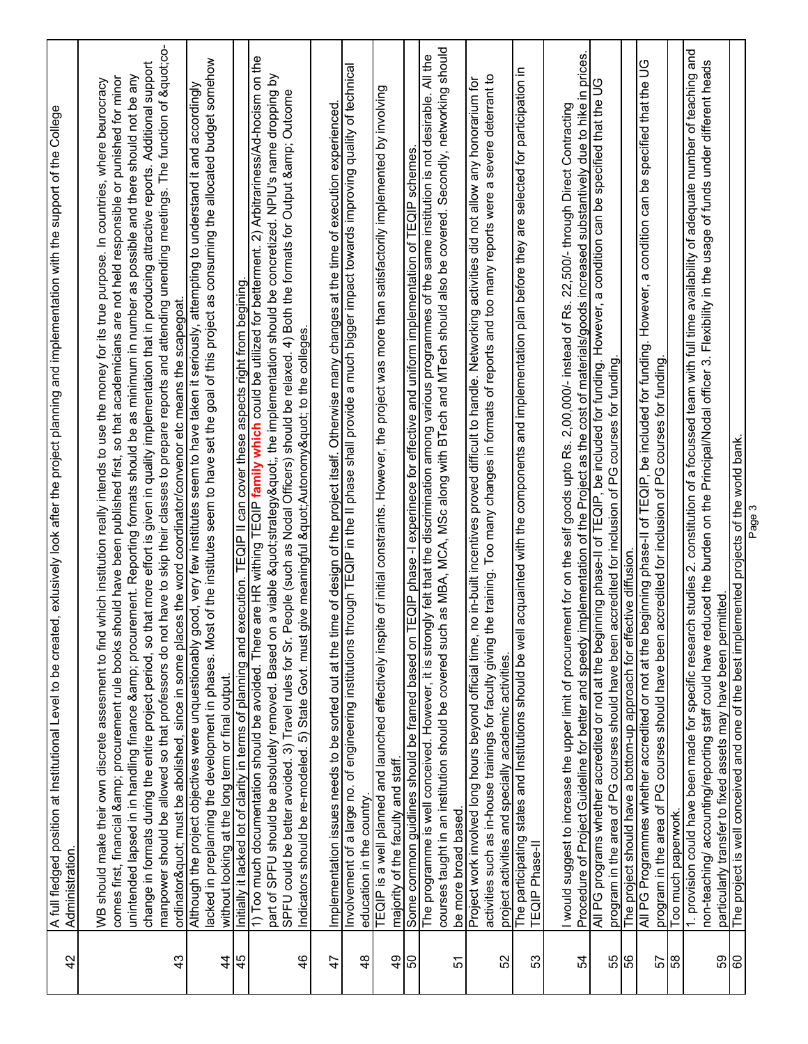| 42                             | A full fledged position at Institutional Level to be created, exlusively look after the project planning and implementation with the support of the College<br>Administration.                                                                                                                                                                                                                                                                                                                                                                                                                                                                                                                                                                                                                                                                                                                                             |
|--------------------------------|----------------------------------------------------------------------------------------------------------------------------------------------------------------------------------------------------------------------------------------------------------------------------------------------------------------------------------------------------------------------------------------------------------------------------------------------------------------------------------------------------------------------------------------------------------------------------------------------------------------------------------------------------------------------------------------------------------------------------------------------------------------------------------------------------------------------------------------------------------------------------------------------------------------------------|
| 43                             | manpower should be allowed so that professors do not have to skip their classes to prepare reports and attending unending meetings. The function of "co-<br>change in formats during the entire project period, so that more effort is given in quality implementation that in producing attractive reports. Additional support<br>unintended lapsed in in handling finance & procurement. Reporting formats should be as minimum in number as possible and there should not be any<br>comes first, financial & procurement rule books should have been published first, so that academicians are not held responsible or punished for minor<br>which institution really intends to use the money for its true purpose. In countries, where beurocracy<br>ordinator" must be abolished, since in some places the word coordinator/convenor etc means the scapegoat.<br>WB should make their own discrete assesment to find |
| $\frac{4}{3}$<br>45            | lacked in preplanning the development in phases. Most of the institutes seem to have set the goal of this project as consuming the allocated budget somehow<br>Although the project objectives were unquestionably good, very few institutes seem to have taken it seriously, attempting to understand it and accordingly<br>without looking at the long term or final output.                                                                                                                                                                                                                                                                                                                                                                                                                                                                                                                                             |
| $\frac{4}{6}$                  | are HR withing TEQIP family which could be utilized for betterment. 2) Arbitrariness/Ad-hocism on the<br>a viable "strategy", the implementation should be concretized. NPIU's name dropping by<br>SPFU could be better avoided. 3) Travel rules for Sr. People (such as Nodal Officers) should be relaxed. 4) Both the formats for Output & Outcome<br>Initially it lacked lot of clarity in terms of planning and execution. TEQIP II can cover these aspects right from begining.<br>Indicators should be re-modeled. 5) State Govt. must give meaningful " Autonomy" to the colleges<br>1) Too much documentation should be avoided. There<br>part of SPFU should be absolutely removed. Based on                                                                                                                                                                                                                      |
| 47                             | Involvement of a large no. of engineering institutions through TEQIP in the II pase shall provide a much bigger impact towards improving quality of technical<br>Implementation issues needs to be sorted out at the time of design of the project itself. Otherwise many changes at the time of execution experienced                                                                                                                                                                                                                                                                                                                                                                                                                                                                                                                                                                                                     |
| $\frac{9}{4}$<br>$\frac{8}{3}$ | TEQIP is a well planned and launched effectively inspite of initial constraints. However, the project was more than satisfactorily implemented by involving<br>majority of the faculty and staff.<br>education in the country.                                                                                                                                                                                                                                                                                                                                                                                                                                                                                                                                                                                                                                                                                             |
| 50<br>57                       | h as MBA, MCA, MSc along with BTech and MTech should also be covered. Secondly, networking should<br>The programme is well conceived. However, it is strongly felt that the discrimination among various programmes of the same institution is not desirable. All the<br>EQIP phase -I experinece for effective and uniform implementation of TEQIP schemes<br>courses taught in an institution should be covered sucl<br>Some common guidlines should be framed based on<br>be more broad based.                                                                                                                                                                                                                                                                                                                                                                                                                          |
| 52                             | activities such as in-house trainings for faculty giving the training. Too many changes in formats of reports and too many reports were a severe deterrant to<br>no in-built incentives proved difficult to handle. Networking activities did not allow any honorarium for<br>Project work involved long hours beyond official time,<br>project activities and specially academic activities.                                                                                                                                                                                                                                                                                                                                                                                                                                                                                                                              |
| 53                             | acquainted with the components and implementation plan before they are selected for participation in<br>The participating states and Institutions should be well<br><b>TEQIP Phase-II</b>                                                                                                                                                                                                                                                                                                                                                                                                                                                                                                                                                                                                                                                                                                                                  |
| 54                             | Procedure of Project Guideline for better and speedy implementation of the Project as the cost of materials/goods increased substantively due to hike in prices.<br>I would suggest to increase the upper limit of procurement for on the self goods upto Rs. 2,00,000/- instead of Rs. 22,500/- through Direct Contracting                                                                                                                                                                                                                                                                                                                                                                                                                                                                                                                                                                                                |
| 55                             | 9)<br>All PG programs whether accredited or not at the beginning phase-II of TEQIP, be included for funding. However, a condition can be specified that the<br>program in the area of PG courses should have been accredited for inclusion of PG courses for funding                                                                                                                                                                                                                                                                                                                                                                                                                                                                                                                                                                                                                                                       |
| 99<br>57                       | All PG Programmes whether accredited or not at the beginning phase-II of TEQIP, be included for funding. However, a condition can be specified that the UG<br>program in the area of PG courses should have been accredited for inclusion of PG courses for funding<br>The project should have a bottom-up approach for effective diffusion.                                                                                                                                                                                                                                                                                                                                                                                                                                                                                                                                                                               |
| 58                             | Too much paperwork.                                                                                                                                                                                                                                                                                                                                                                                                                                                                                                                                                                                                                                                                                                                                                                                                                                                                                                        |
| SS                             | 1. provision could have been made for specific research studies 2. constitution of a focussed team with full time availability of adequate number of teaching and<br>non-teaching/ accounting/reporting staff could have reduced the burden on the Principal/Nodal officer 3. Flexibility in the usage of funds under different heads<br>particularly transfer to fixed assets may have been permitted                                                                                                                                                                                                                                                                                                                                                                                                                                                                                                                     |
| 60                             | The project is well conceived and one of the best implemented projects of the world bank.<br>Page 3                                                                                                                                                                                                                                                                                                                                                                                                                                                                                                                                                                                                                                                                                                                                                                                                                        |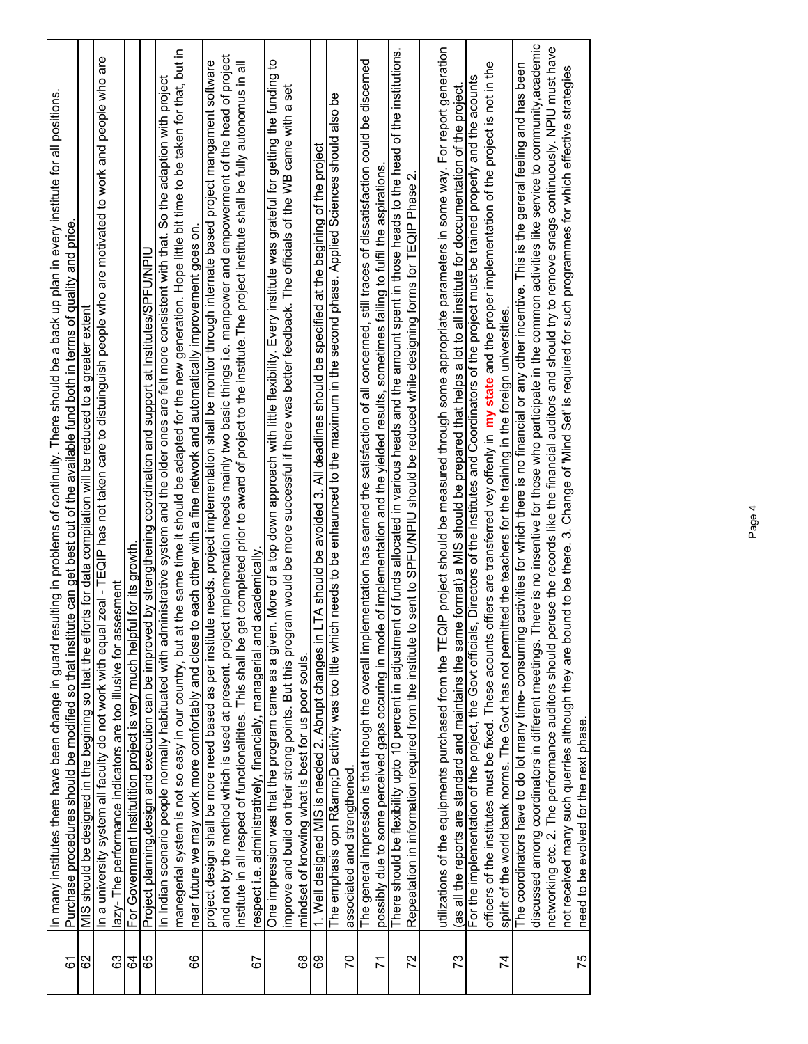| 61 | In many institutes there have been change in guard resulting in problems of continuity. There should be a back up plan in every institute for all positions<br>Purchase procedures should be modified so that institute can get best out of the available fund both in terms of quality and price        |
|----|----------------------------------------------------------------------------------------------------------------------------------------------------------------------------------------------------------------------------------------------------------------------------------------------------------|
| 82 | MIS should be designed in the begining so that the efforts for data compilation will be reduced to a greater extent                                                                                                                                                                                      |
| යි | In a university system all faculty do not work with equal zeal - TEQIP has not taken care to distuinguish people who are motivated to work and people who are<br>azy- The performance indicators are too illusive for assesment                                                                          |
| 84 | For Government Institutition project is very much helpful for its growth                                                                                                                                                                                                                                 |
| 89 | Project planning,design and execution can be improved by strengthening coordination and support at Institutes/SPFU/NPIU                                                                                                                                                                                  |
|    | In Indian scenario people normally habituated with administrative system and the older ones are felt more consistent with that. So the adaption with project                                                                                                                                             |
| 89 | the same time it should be adapted for the new generation. Hope little bit time to be taken for that, but in<br>o each other with a fine network and automatically improvement goes on.<br>manegerial system is not so easy in our country, but at<br>near future we may work more comfortably and close |
|    | project design shall be more need based as per institute needs. project implementation shall be monitor through internate based project mangament software                                                                                                                                               |
|    | and not by the method which is used at present. project implementation needs mainly two basic things i.e. manpower and empowerment of the head of project                                                                                                                                                |
|    | institute in all respect of functionalitites. This shall be get completed prior to award of project to the institute. The project institute shall be fully autonomus in all                                                                                                                              |
| 57 | respect i.e. administratively, financialy, managerial and academically                                                                                                                                                                                                                                   |
|    | n. More of a top down approach with little flexibility. Every institute was grateful for getting the funding to<br>One impression was that the program came as a given                                                                                                                                   |
|    | am would be more successful if there was better feedback. The officials of the WB came with a set<br>improve and build on their strong points. But this progr                                                                                                                                            |
| 89 | mindset of knowing what is best for us poor souls.                                                                                                                                                                                                                                                       |
| 69 | LTA should be avoided 3. All deadlines should be specified at the begining of the project<br>1. Well designed MIS is needed 2. Abrupt changes in                                                                                                                                                         |
|    | The emphasis opn R&D activity was too lttle which needs to be enhaunced to the maximum in the second phase. Applied Sciences should also be                                                                                                                                                              |
| 20 | associated and strengthened                                                                                                                                                                                                                                                                              |
|    | The general impression is that though the overall implementation has earned the satisfaction of all concerned, still traces of dissatisfaction could be discerned                                                                                                                                        |
| 71 | possibly due to some perceived gaps occuring in mode of implementation and the yielded results, sometimes failing to fulfil the aspirations                                                                                                                                                              |
|    | There should be flexibility upto 10 percent in adjustment of funds allocated in various heads and the amount spent in those heads to the head of the institutions                                                                                                                                        |
| 72 | Repeatation in information required from the institute to sent to SPFU/NPIU should be reduced while designing forms for TEQIP Phase 2.                                                                                                                                                                   |
|    | utilizations of the equipments purchased from the TEQIP project should be measured through some appropriate parameters in some way. For report generation                                                                                                                                                |
| 73 | (as all the reports are standard and maintains the same format) a MIS should be prepared that helps a lot to all institute for doccumentation of the project                                                                                                                                             |
|    | For the implementation of the project, the Govt officials, Directors of the Institutes and Coordinators of the project must be trained properly and the acounts                                                                                                                                          |
|    | offiers are transferred vey offenly in my state and the proper implementation of the project is not in the<br>officers of the institutes must be fixed. These acounts                                                                                                                                    |
| 74 | spirit of the world bank norms. The Govt has not permitted the teachers for the training in the foreign universities                                                                                                                                                                                     |
|    | activities for which there is no financial or any other incentive. This is the gereral feeling and has been<br>The coordinators have to do lot many time- consuming                                                                                                                                      |
|    | discussed among coordinators in different meetings. There is no insentive for those who participate in the common activities like service to community, academic                                                                                                                                         |
|    | networking etc. 2. The performance auditors should peruse the records like the financial auditors and should try to remove snags continuously. NPIU must have                                                                                                                                            |
|    | not received many such querries although they are bound to be there. 3. Change of 'Mind Set' is required for such programmes for which effective strategies                                                                                                                                              |
| 75 | need to be evolved for the next phase.                                                                                                                                                                                                                                                                   |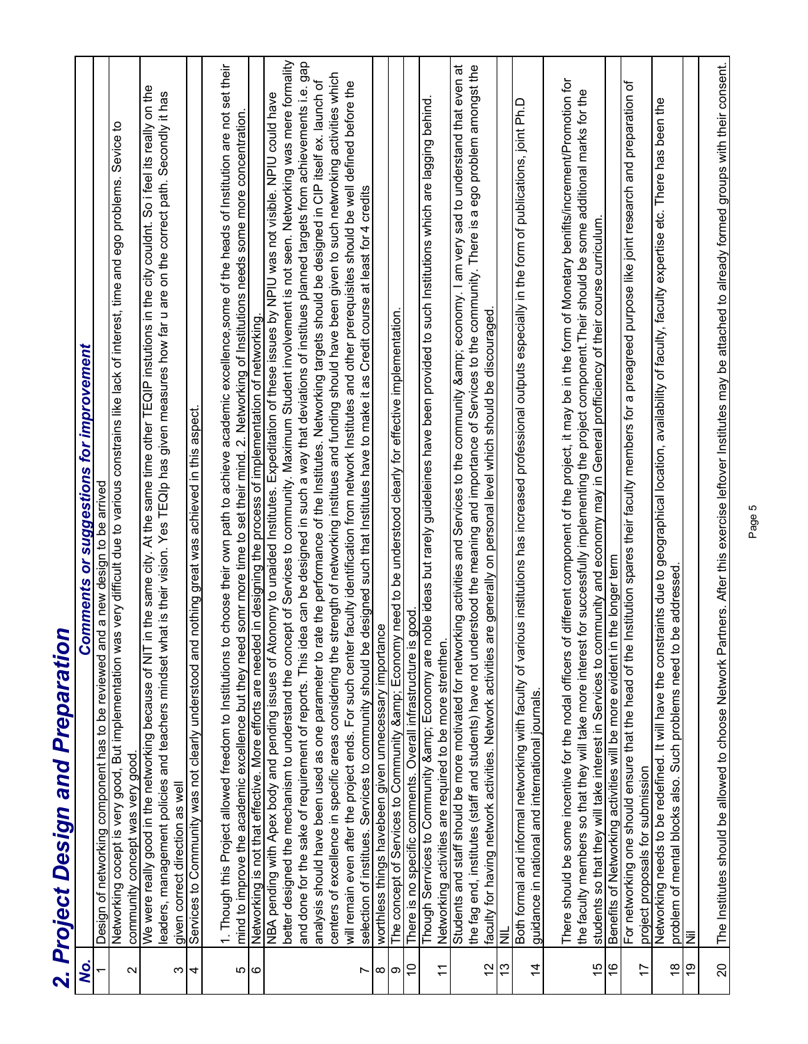|                     | 2. Project Design and Preparation                                                                                                                                                                                                                                                                                             |
|---------------------|-------------------------------------------------------------------------------------------------------------------------------------------------------------------------------------------------------------------------------------------------------------------------------------------------------------------------------|
| Q,                  | <b>Comments or suggestions for improvement</b>                                                                                                                                                                                                                                                                                |
|                     | Design of networking component has to be reviewed and a new design to be arrived                                                                                                                                                                                                                                              |
| $\sim$              | Networking cocept is very good, But implementation was very difficult due to various constrains like lack of interest, time and ego problems. Sevice to<br>community concept was very good                                                                                                                                    |
| ω                   | in the same city. At the same time other TEQIP instutions in the city couldnt. So i feel its really on the<br>leaders, management policies and teachers mindset what is their vision. Yes TEQIp has given measures how far u are on the correct path. Secondly it has<br>We were really good in the networking because of NIT |
| 4                   | given correct direction as well<br>Services to Community was not clearly understood and nothing great was achieved in this aspect.                                                                                                                                                                                            |
|                     | to choose their own path to achieve academic excellence,some of the heads of Institution are not set their<br>mind to improve the academic excellence but they need somr more time to set their mind. 2. Networking of Institutions needs some more concentration.<br>1. Though this Project allowed freedom to Institutions  |
| $\omega$   $\omega$ | Networking is not that effective. More efforts are needed in designing the process of implementation of networking.                                                                                                                                                                                                           |
|                     | NBA pending with Apex body and pending issues of Atonomy to unaided Institutes. Expeditation of these issues by NPIU was not visible. NPIU could have                                                                                                                                                                         |
|                     | better designed the mechanism to understand the concept of Services to community. Maximum Student involvement is not seen. Networking was mere formality<br>and done for the sake of requirement of reports. This idea can be designed in such a way that deviations of institues planned targets from achievements i.e. gap  |
|                     | rate the performance of the Institutes. Networking targets should be designed in CIP itself ex. launch of<br>analysis should have been used as one parameter to                                                                                                                                                               |
|                     | centers of excellence in specific areas considering the strength of networking institues and funding should have been given to such netwroking activities which                                                                                                                                                               |
| r                   | will remain even after the project ends. For such center faculty identification from network Institutes and other prerequisites should be well defined before the<br>selection of institues. Services to community should be designed such that Institutes have to make it as Credit course at least for 4 credits            |
| $\infty$            | worthless things havebeen given unnecessary importance                                                                                                                                                                                                                                                                        |
| ၜ                   | The concept of Services to Community & Economy need to be understood clearly for effective implementation.                                                                                                                                                                                                                    |
| $\overline{0}$      | is good<br>There is no specific comments. Overall infrastructure                                                                                                                                                                                                                                                              |
| $\overline{1}$      | Though Serrvices to Community & Economy are noble ideas but rarely guideleines have been provided to such Institutions which are lagging behind<br>Networking activities are required to be more strenthen.                                                                                                                   |
|                     | Students and staff should be more motivated for networking activities and Services to the community & economy. I am very sad to understand that even at                                                                                                                                                                       |
|                     | the fag end, institutes (staff and students) have not understood the meaning and importance of Services to the community. There is a ego problem amongst the                                                                                                                                                                  |
| $\frac{1}{2}$       | are generally on personal level which should be discouraged.<br>faculty for having network activities. Network activities                                                                                                                                                                                                     |
| $\frac{3}{2}$       | $\equiv$                                                                                                                                                                                                                                                                                                                      |
| $\overline{4}$      | Both formal and informal networking with faculty of various institutions has increased professional outputs especially in the form of publications, joint Ph.D<br>guidance in national and international journals.                                                                                                            |
|                     | of different component of the project, it may be in the form of Monetary benifits/increment/Promotion for<br>There should be some incentive for the nodal officers                                                                                                                                                            |
|                     | the faculty members so that they will take more interest for successfully implementing the project component. Their should be some additional marks for the<br>students so that they will take interest in Services to community and economy may in General profficiency of their course curriculum.                          |
| $\frac{9}{16}$      | Benefits of Networking activities will be more evident in the longer term                                                                                                                                                                                                                                                     |
|                     | For networking one should ensure that the head of the Institution spares their faculty members for a preagreed purpose like joint research and preparation of                                                                                                                                                                 |
| $\overline{1}$      | project proposals for submission                                                                                                                                                                                                                                                                                              |
| $\frac{8}{1}$       | Networking needs to be redefined. It will have the constraints due to geographical location, availability of faculty, faculty expertise etc. There has been the<br>Such problems need to be addressed.<br>problem of mental blocks also.                                                                                      |
| 6Ļ                  | ΙİΝ                                                                                                                                                                                                                                                                                                                           |
| $\overline{20}$     | The Institutes should be allowed to choose Network Partners. After this exercise leftover Institutes may be attached to already formed groups with their consent.                                                                                                                                                             |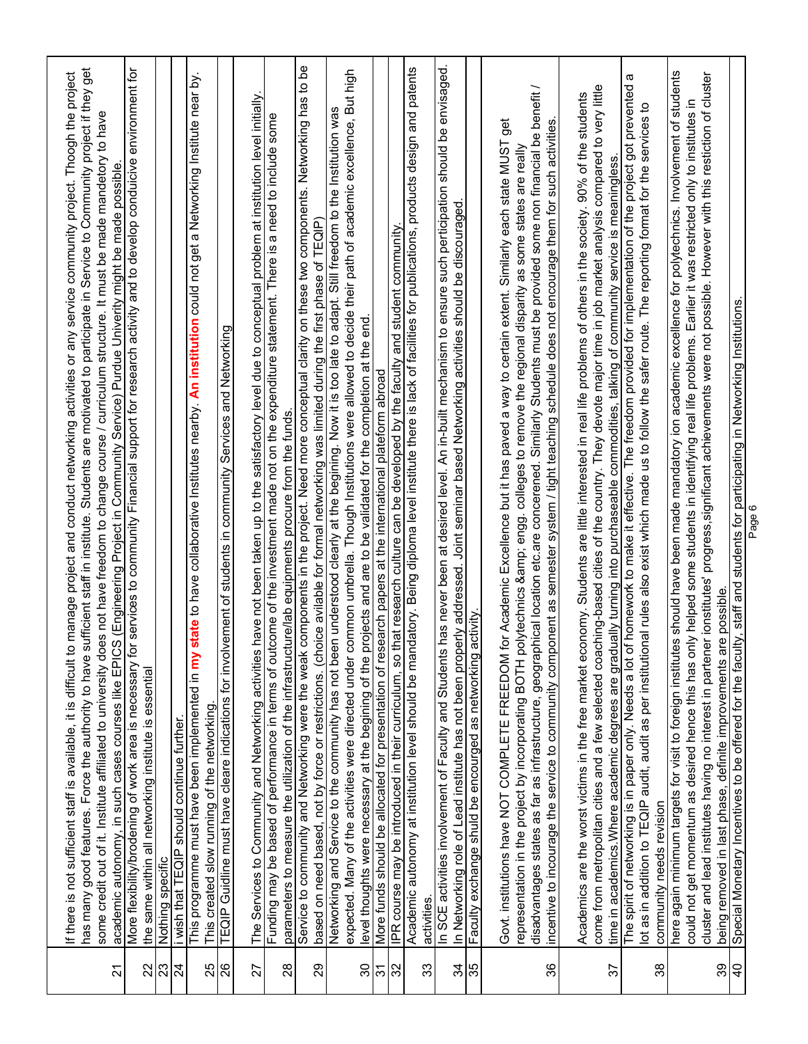| $\overline{2}$      | has many good features. Force the authority to have sufficient staff in institute. Students are motivated to participate in Service to Community project if they get<br>manage project and conduct networking activities or any service community project. Thoogh the project<br>some credit out of it. Institute affiliated to university does not have freedom to change course / curriculum structure. It must be mande mandetory to have<br>academic autonomy, in such cases courses like EPICS (Engineering Project in Community Service) Purdue Univerity might be made possible<br>If there is not sufficient staff is available, it is difficult to |
|---------------------|-------------------------------------------------------------------------------------------------------------------------------------------------------------------------------------------------------------------------------------------------------------------------------------------------------------------------------------------------------------------------------------------------------------------------------------------------------------------------------------------------------------------------------------------------------------------------------------------------------------------------------------------------------------|
| 22                  | More flexibility/brodening of work area is necessary for services to community Financial support for research activity and to develop conduicive environment for<br>the same within all networking institute is essential                                                                                                                                                                                                                                                                                                                                                                                                                                   |
| 23                  | Nothing specific                                                                                                                                                                                                                                                                                                                                                                                                                                                                                                                                                                                                                                            |
| 24                  | state to have collaborative Institutes nearby. An institution could not get a Networking Institute near by.<br>This programme must have been implemented in my<br>i wish that TEQIP should continue further                                                                                                                                                                                                                                                                                                                                                                                                                                                 |
|                     | This created slow running of the networking.                                                                                                                                                                                                                                                                                                                                                                                                                                                                                                                                                                                                                |
| $\frac{25}{26}$     | TEQIP Guidline must have cleare indications for involvement of students in community Services and Networking                                                                                                                                                                                                                                                                                                                                                                                                                                                                                                                                                |
| 27                  | have not been taken up to the satisfactory level due to conceptual problem at institution level initially.<br>The Services to Community and Networking activities                                                                                                                                                                                                                                                                                                                                                                                                                                                                                           |
| $^{28}$             | Funding may be based of performance in terms of outcome of the investment made not on the expenditure statement. There is a need to include some<br>parameters to measure the utilization of the infrastructure/lab equipments procure from the funds.                                                                                                                                                                                                                                                                                                                                                                                                      |
| 29                  | Service to community and Networking were the weak components in the project. Need more conceptual clarity on these two components. Networking has to be<br>based on need based, not by force or restrictions. (choice avilable for formal networking was limited during the first phase of TEQIP)                                                                                                                                                                                                                                                                                                                                                           |
| 30                  | expected. Many of the activities were directed under common umbrella. Though Institutions were allowed to decide their path of academic excellence, But high<br>Networking and Service to the community has not been understood clearly at the begining. Now it is too late to adapt. Still freedom to the Institution was                                                                                                                                                                                                                                                                                                                                  |
| 51                  | level thoughts were necessary at the begining of the projects and are to be validated for the completion at the end.<br>More funds should be allocated for presentation of research papers at the international plateform abroad                                                                                                                                                                                                                                                                                                                                                                                                                            |
| 32                  | Academic autonomy at institution level should be mandatory. Being diploma level institute there is lack of facilities for publications, products design and patents<br>IPR course may be introduced in their curriculum, so that research culture can be developed by the faculty and student community                                                                                                                                                                                                                                                                                                                                                     |
| 33                  | activities.                                                                                                                                                                                                                                                                                                                                                                                                                                                                                                                                                                                                                                                 |
| 35<br>$\frac{4}{3}$ | has never been at desired level. An in-built mechanism to ensure such perticipation should be envisaged<br>In Networking role of Lead institute has not been properly addressed. Joint seminar based Networking activities should be discouraged.<br>Faculty exchange shuld be encourged as networking activity<br>In SCE activities involvement of Faculty and Students                                                                                                                                                                                                                                                                                    |
|                     | get<br>Govt. institutions have NOT COMPLETE FREEDOM for Academic Excellence but it has paved a way to certain extent. Similarly each state MUST                                                                                                                                                                                                                                                                                                                                                                                                                                                                                                             |
| 36                  | disadvantages states as far as infrastructure, geographical location etc.are concerened. Similarly Students must be provided some non financial be benefit /<br>incentive to incourage the service to community component as semester system / tight teaching schedule does not encourage them for such activities<br>representation in the project by incorporating BOTH polytechnics & engg. colleges to remove the regional disparity as some states are really                                                                                                                                                                                          |
|                     |                                                                                                                                                                                                                                                                                                                                                                                                                                                                                                                                                                                                                                                             |
|                     | come from metropolitan cities and a few selected coaching-based cities of the country. They devote major time in job market analysis compared to very little<br>Academics are the worst victims in the free market economy. Students are little interested in real life problems of others in the society. 90% of the students                                                                                                                                                                                                                                                                                                                              |
| 57                  | time in academics. Where academic degrees are gradually turning into purchaseable commodities, talking of community service is meaningless.                                                                                                                                                                                                                                                                                                                                                                                                                                                                                                                 |
| 38                  | ω<br>The spirit of networking is in paper only. Needs a lot of homework to make it effective. The freedom provided for implementation of the project got prevented<br>lot as in addition to TEQIP audit, audit as per institutional rules also exist which made us to follow the safer route. The reporting format for the services to<br>community needs revision                                                                                                                                                                                                                                                                                          |
|                     | here again minimum targets for visit to foreign institutes should have been made mandatory ion academic excellence for polytechnics. Involvement of students                                                                                                                                                                                                                                                                                                                                                                                                                                                                                                |
| 39                  | cluster and lead institutes having no interest in partener ionstitutes' progress, significant achievements were not possible. However with this restiction of cluster<br>hy helped some students in identifying real life problems. Earlier it was restricted only to institutes in<br>being removed in last phase, definite improvements are possible.<br>could not get momentum as desired hence this has or                                                                                                                                                                                                                                              |
| $\overline{4}$      | Special Monetary Incentives to be offered for the faculty, staff and students for participating in Networking Institutions.                                                                                                                                                                                                                                                                                                                                                                                                                                                                                                                                 |
|                     | Page 6                                                                                                                                                                                                                                                                                                                                                                                                                                                                                                                                                                                                                                                      |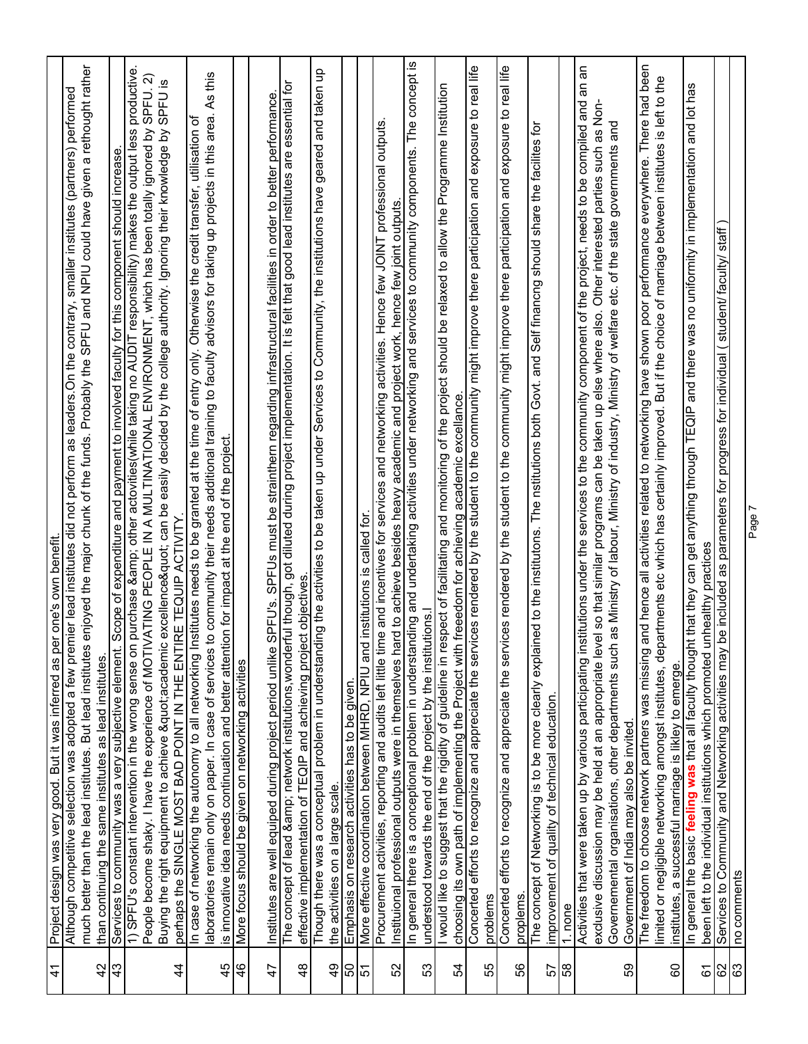| $\overline{1}$ | Project design was very good. But it was inferred as per one's own benefit.                                                                                                                                                                                                                                                       |
|----------------|-----------------------------------------------------------------------------------------------------------------------------------------------------------------------------------------------------------------------------------------------------------------------------------------------------------------------------------|
|                | Although competitive selection was adopted a few premier lead institutes did not perform as leaders. On the contrary, smaller institutes (partners) performed                                                                                                                                                                     |
| $\overline{4}$ | enjoyed the major chunk of the funds. Probably the SPFU and NPIU could have given a rethought rather<br>much better than the lead institutes. But lead institutes                                                                                                                                                                 |
|                | than continuing the same institutes as lead institutes.                                                                                                                                                                                                                                                                           |
| 43             | Scope of expenditure and payment to involved faculty for this component should increase.<br>Services to community was a very subjective element.                                                                                                                                                                                  |
|                | productive<br>SPFU. 2)<br>People become shaky. I have the experience of MOTIVATING PEOPLE IN A MULTINATIONAL ENVIRONMENT, which has been totally ignored by<br>1) SPFU's constant intervention in the wrong sense on purchase & other actovities(while taking no AUDIT responsibility) makes the output less                      |
| $\frac{4}{3}$  | Buying the right equipment to achieve "academic excellence" can be easily decided by the college authority. Ignoring their knowledge by SPFU is<br>perhaps the SINGLE MOST BAD POINT IN THE ENTIRE TEQUIP ACTIVITY.                                                                                                               |
|                | nstitutes needs to be granted at the time of entry only. Otherwise the credit transfer, utilisation of<br>In case of networking the autonomy to all networking                                                                                                                                                                    |
|                | to community their needs additional training to faculty advisors for taking up projects in this area. As this<br>aboratories remain only on paper. In case of services                                                                                                                                                            |
| 45             | at the end of the project.<br>is innovative idea needs continuation and better attention for impact                                                                                                                                                                                                                               |
| 46             | More focus should be given on networking activities                                                                                                                                                                                                                                                                               |
| 47             | SPFU's. SPFUs must be strainthern regarding infrastructural facilities in order to better performance.<br>Institutes are well equiped during project period unlike                                                                                                                                                                |
| $\frac{8}{3}$  | The concept of lead & network institutions, wonderful though, got diluted during project implementation. It is felt that good lead institutes are essential for<br>effective implementation of TEQIP and achieving project objectives                                                                                             |
|                | Though there was a conceptual problem in understanding the activities to be taken up under Services to Community, the institutions have geared and taken up                                                                                                                                                                       |
| $\frac{6}{7}$  | the activities on a large scale.<br>Emphasis on research activities has to be given.                                                                                                                                                                                                                                              |
| $\frac{5}{5}$  |                                                                                                                                                                                                                                                                                                                                   |
|                | More effective coordination between MHRD, NPIU and institutions is called for.                                                                                                                                                                                                                                                    |
| 52             | Procurement activities, reporting and audits left little time and incentives for services and networking activities. Hence few JOINT professional outputs.<br>Instituional professional outputs were in themselves hard to achieve besides heavy academic and project work, hence few joint outputs                               |
|                |                                                                                                                                                                                                                                                                                                                                   |
| 53             | In general there is a conceptional problem in understanding and undertaking activities under networking and services to community components. The concept is<br>understood towards the end of the project by the institutions.                                                                                                    |
|                | would like to suggest that the rigidity of guideline in respect of facilitating and monitoring of the project should be relaxed to allow the Programme Institution                                                                                                                                                                |
| 54             | choosing its own path of implementing the Project with freeedom for achieving academic excellance.                                                                                                                                                                                                                                |
|                | Concerted efforts to recognize and appreciate the services rendered by the student to the community might improve there participation and exposure to real life                                                                                                                                                                   |
| 55             | problems                                                                                                                                                                                                                                                                                                                          |
|                | Concerted efforts to recognize and appreciate the services rendered by the student to the community might improve there participation and exposure to real life                                                                                                                                                                   |
| 99             | proplems.                                                                                                                                                                                                                                                                                                                         |
| 57             | ined to the institutons. The nstitutions both Govt. and Self financng should share the facilites for<br>explai<br>The concept of Networking is to be more clearly<br>improvement of quality of technical education.                                                                                                               |
| 58             | 1. none                                                                                                                                                                                                                                                                                                                           |
|                | Activities that were taken up by various participating institutions under the services to the community component of the project, needs to be compiled and an an                                                                                                                                                                  |
|                | exclusive discussion may be held at an appropriate level so that similar programs can be taken up else where also. Other interested parties such as Non-                                                                                                                                                                          |
|                | Governemental organisations, other departments such as Ministry of labour, Ministry of industry, Ministry of welfare etc. of the state governments and                                                                                                                                                                            |
| 59             | Government of India may also be invited.                                                                                                                                                                                                                                                                                          |
|                | and hence all activities related to networking have shown poor performance everywhere. There had been<br>limited or negligible networking amongst institutes, departments etc which has certainly improved. But if the choice of marriage between institutes is left to the<br>The freedom to choose network partners was missing |
| 8              | institutes, a successful marriage is likley to emerge.                                                                                                                                                                                                                                                                            |
|                | nt that they can get anything through TEQIP and there was no uniformity in implementation and lot has<br>In general the basic feeling was that all faculty though                                                                                                                                                                 |
| 67             | unhealthy practices<br>been left to the individual institutions which promoted                                                                                                                                                                                                                                                    |
| 62             | staff<br>be included as parameters for progress for individual (student/ faculty/<br>Services to Community and Networking activities may                                                                                                                                                                                          |
| 63             | no comments                                                                                                                                                                                                                                                                                                                       |
|                | Page 7                                                                                                                                                                                                                                                                                                                            |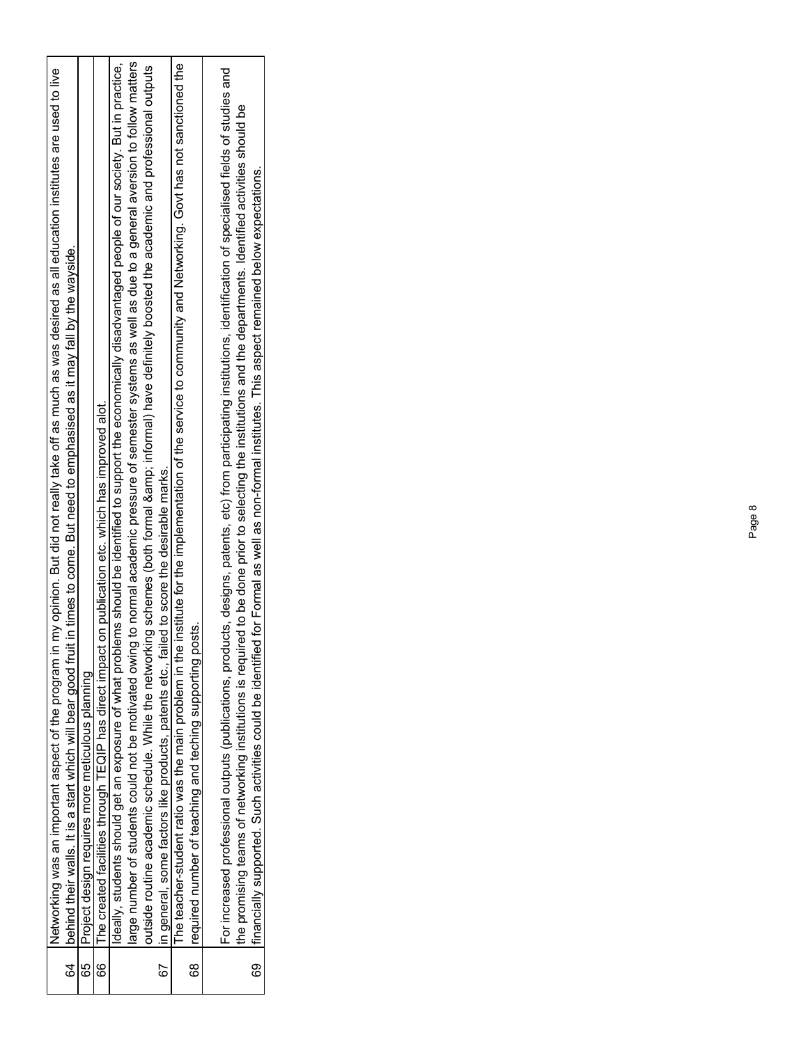|          | Networking was an important aspect of the program in my opinion. But did not really take off as much as was desired as all education institutes are used to live                                                                                                                                                                                                                                                                                                                               |
|----------|------------------------------------------------------------------------------------------------------------------------------------------------------------------------------------------------------------------------------------------------------------------------------------------------------------------------------------------------------------------------------------------------------------------------------------------------------------------------------------------------|
|          | 64   behind their walls. It is a start which will bear good fruit in times to come. But need to emphasised as it may fall by the wayside                                                                                                                                                                                                                                                                                                                                                       |
| 65<br>00 | Project design requires more meticulous planning                                                                                                                                                                                                                                                                                                                                                                                                                                               |
| 66       | The created facilities through TEQIP has direct impact on publication etc. which has improved alot.                                                                                                                                                                                                                                                                                                                                                                                            |
|          | deally, students should get an exposure of what problems should be identified to support the economically disadvantaged people of our society. But in pradtice,                                                                                                                                                                                                                                                                                                                                |
|          | arge number of students could not be motivated owing to normal academic pressure of semester systems as well as due to a general aversion to follow matters                                                                                                                                                                                                                                                                                                                                    |
|          | outiside routine academic schedule. While the networking schemes (both formal & informal) have definitely boosted the academic and professional outputs                                                                                                                                                                                                                                                                                                                                        |
|          | 67 lin general, some factors like products, patents etc., failed to score the desirable marks.                                                                                                                                                                                                                                                                                                                                                                                                 |
|          | The teacher-student ratio was the main problem in the institute for the implementation of the service to community and Networking. Govt has not sanctioned the                                                                                                                                                                                                                                                                                                                                 |
|          | 68 Irequired number of teaching and teching supporting posts.                                                                                                                                                                                                                                                                                                                                                                                                                                  |
| ල<br>ග   | For increased professional outputs (publications, products, designs, patents, etc) from participating institutions, identification of specialised fields of studies and<br>the promising teams of networking institutions is required to be done prior to selecting the institutions and the departments. Identified activities should be<br>Ifinancially supported. Such activities could be identified for Formal as well as non-formal institutes. This aspect remained below expectations. |
|          |                                                                                                                                                                                                                                                                                                                                                                                                                                                                                                |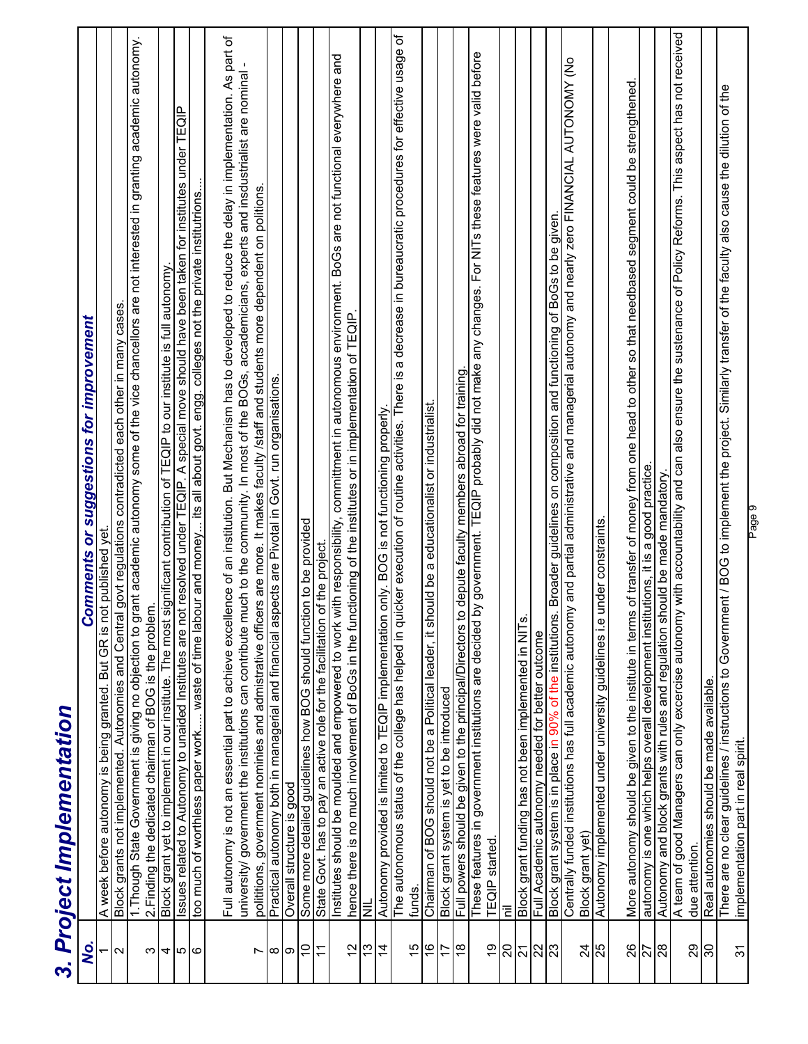| .<br>چ                | suggestions for improvement<br><b>Comments or</b><br>3. Project Implementation                                                                                                                                                                                                                                                  |
|-----------------------|---------------------------------------------------------------------------------------------------------------------------------------------------------------------------------------------------------------------------------------------------------------------------------------------------------------------------------|
|                       |                                                                                                                                                                                                                                                                                                                                 |
| la                    | A week before autonomy is being granted. But GR is not published yet.<br>Block grants not implemented. Autonomies and Central govt regulations contradicted each other in many cases.                                                                                                                                           |
| ω                     | grant academic autonomy some of the vice chancellors are not interested in granting academic autonomy<br>2. Finding the dedicated chairman of BOG is the problem.<br>1. Though State Government is giving no objection to a                                                                                                     |
|                       |                                                                                                                                                                                                                                                                                                                                 |
| 400                   | Block grant yet to implement in our institute. The most significant contribution of TEQIP to our institute is full autonomy.<br>Issues related to Autonomy to unaided Institutes are not resolved under TEQIP. A special move sho                                                                                               |
|                       | bour and money its all about govt. engg. colleges not the private institutrions<br>too much of worthless paper work waste of time lal                                                                                                                                                                                           |
| Ľ                     | Full autonomy is not an essential part to achieve excellence of an institution. But Mechanism has to developed to reduce the delay in implementation. As part of<br>much to the community. In most of the BOGs, accademicians, experts and insdustrialist are nominal<br>university/ government the institutions can contribute |
|                       | polititions, government nominies and admistrative officers are more. It makes faculty /staff and students more dependent on politions.<br>Practical autonomy both in managerial and financial aspects are Pivotal in Govt. run organisations.                                                                                   |
| ထ တြ                  | Overall structure is good                                                                                                                                                                                                                                                                                                       |
| $\Xi$                 | Some more detailed guidelines how BOG should function to be provided                                                                                                                                                                                                                                                            |
| $\overline{ }$        | State Govt. has to pay an active role for the facilitation of the project.                                                                                                                                                                                                                                                      |
| $\frac{2}{3}$         | Institutes should be moulded and empowered to work with responsibility, committment in autonomous environment. BoGs are not functional everywhere and<br>hence there is no much involvement of BoGs in the functioning of the institutes or in implementation of TEQIP.                                                         |
| $\frac{3}{2}$         | $\bar{\bar{z}}$                                                                                                                                                                                                                                                                                                                 |
| $\overline{4}$        | Autonomy provided is limited to TEQIP implementation only. BOG is not functioning properly                                                                                                                                                                                                                                      |
| $\frac{5}{1}$         | The autonomous status of the college has helped in quicker execution of routine activities. There is a decrease in bureaucratic procedures for effective usage of<br>funds.                                                                                                                                                     |
| $\frac{1}{6}$         | leader, it should be a educationalist or industrialist.<br>Chairman of BOG should not be a Political                                                                                                                                                                                                                            |
| $\overline{1}$        | Block grant system is yet to be introduced                                                                                                                                                                                                                                                                                      |
| ∣∞                    | to depute faculty members abroad for training<br>Full powers should be given to the principal/Directors                                                                                                                                                                                                                         |
| é,                    | by government. TEQIP probably did not make any changes. For NITs these features were valid before<br>These features in government institutions are decided<br><b>TEQIP</b> started.                                                                                                                                             |
| 20                    | Ξ                                                                                                                                                                                                                                                                                                                               |
| $\overline{21}$       | Block grant funding has not been implemented in NITs                                                                                                                                                                                                                                                                            |
| $\frac{2}{3}$         | Full Academic autonomy needed for better outcome                                                                                                                                                                                                                                                                                |
|                       | Block grant system is in place in 90% of the institutions. Broader guidelines on composition and functioning of BoGs to be given                                                                                                                                                                                                |
| $\overline{2}$        | Centrally funded institutions has full academic autonomy and partial administrative and managerial autonomy and nearly zero FINANCIAL AUTONOMY (No<br>Block grant yet)                                                                                                                                                          |
| 25                    | Autonomy implemented under university guidelines i.e under constraints.                                                                                                                                                                                                                                                         |
|                       | More autonomy should be given to the institute in terms of transfer of money from one head to other so that needbased segment could be strengthened                                                                                                                                                                             |
| $\frac{26}{27}$       | autonomy is one which helps overall development institutions, it is a good practice.                                                                                                                                                                                                                                            |
| $\frac{8}{28}$        | Autonomy and block grants with rules and regulation should be made mandatory.                                                                                                                                                                                                                                                   |
| 29                    | ny with accountability and can also ensure the sustenance of Policy Reforms. This aspect has not received<br>A team of good Managers can only excercise autonor<br>due attention                                                                                                                                                |
| $\overline{\text{S}}$ | Real autonomies should be made available.                                                                                                                                                                                                                                                                                       |
| $\overline{5}$        | There are no clear guidelines / instructions to Government / BOG to implement the project. Similarly transfer of the faculty also cause the dilution of the<br>implementation part in real spirit.                                                                                                                              |
|                       | Page 9                                                                                                                                                                                                                                                                                                                          |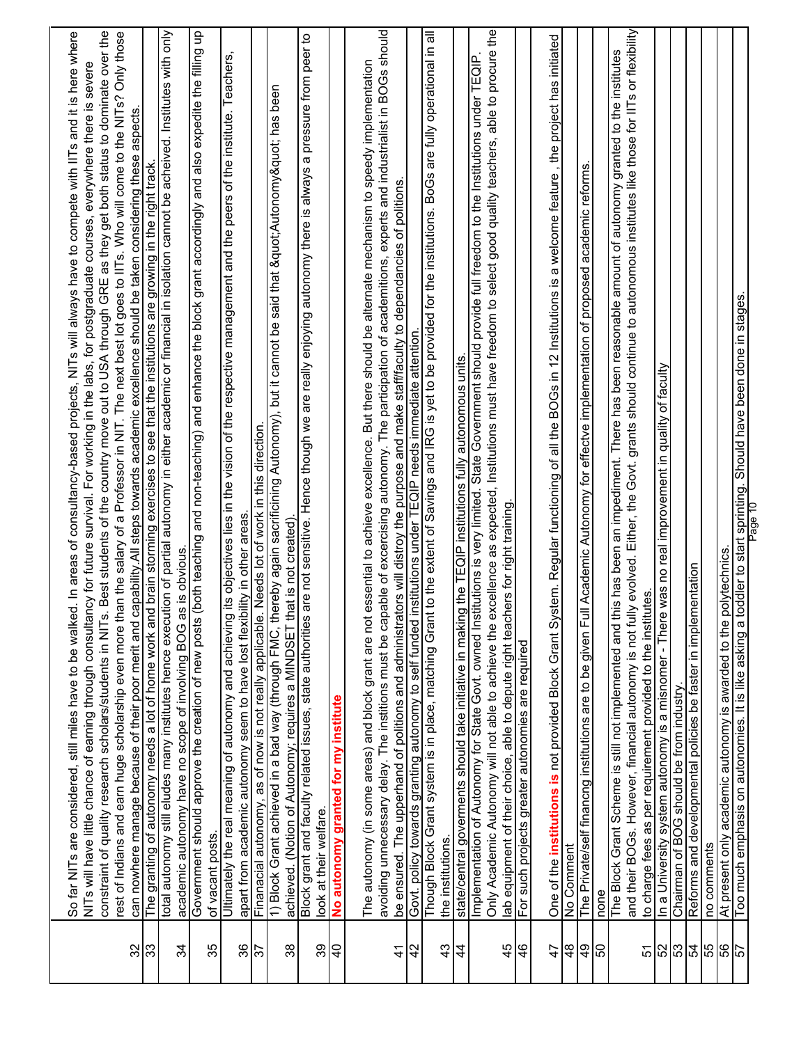|                | So far NITs are considered, still miles have to be walked. In areas of consultancy-based projects, NITs will always have to compete with IITs and it is here where<br>NITs will have little chance of earning through consultancy for future survival. For working in the labs, for postgraduate courses, everywhere there is severe                                                                                                                                    |
|----------------|-------------------------------------------------------------------------------------------------------------------------------------------------------------------------------------------------------------------------------------------------------------------------------------------------------------------------------------------------------------------------------------------------------------------------------------------------------------------------|
|                | constraint of quality research scholars/students in NITs. Best students of the country move out to USA through GRE as they get both status to dominate over the                                                                                                                                                                                                                                                                                                         |
|                | rest of Indians and earn huge scholarship even more than the salary of a Professor in NIT. The next best lot goes to IITs. Who will come to the NITs? Only those<br>capability. All steps towards academic excellence should be taken considering these aspects<br>can nowhere manage because of their poor merit and                                                                                                                                                   |
| ន $ 3$         | nd brain storming exercises to see that the institutions are growing in the right track.<br>The granting of autonomy needs a lot of home work ar                                                                                                                                                                                                                                                                                                                        |
| 34             | total autonomy still eludes many institutes hence execution of partial autonomy in either academic or financial in isolation cannot be acheived. Institutes with only<br>as is obvious.<br>academic autonomy have no scope of involving BOG                                                                                                                                                                                                                             |
| 35             | (both teaching and non-teaching) and enhance the block grant accordingly and also expedite the filling up<br>Government should approve the creation of new posts<br>of vacant posts.                                                                                                                                                                                                                                                                                    |
| 36             | Ultimately the real meaning of autonomy and achieving its objectives lies in the vision of the respective management and the peers of the institute. Teachers,<br>apart from academic autonomy seem to have lost flexibility in other areas.                                                                                                                                                                                                                            |
| $\frac{2}{3}$  | Finanacial autonomy, as of now is not really applicable. Needs lot of work in this direction.                                                                                                                                                                                                                                                                                                                                                                           |
| 38             | 1) Block Grant achieved in a bad way (through FMC, thereby again sacrificining Autonomy), but it cannot be said that " Autonomy" has been<br>achieved. (Notion of Autonomy; requires a MINDSET that is not created).                                                                                                                                                                                                                                                    |
| 39             | are not sensitive. Hence though we are really enjoying autonomy there is always a pressure from peer to<br>Block grant and faculty related issues, state authorities<br>look at their welfare.                                                                                                                                                                                                                                                                          |
| $\overline{P}$ | No autonomy granted for my institute                                                                                                                                                                                                                                                                                                                                                                                                                                    |
| $\frac{4}{5}$  | avoiding unnecessary delay. The institions must be capable of excercising autonomy. The participation of academitions, experts and industrialist in BOGs should<br>essential to achieve excellence. But there should be alternate mechanism to speedy implementation<br>be ensured. The upperhand of politions and administrators will distroy the purpose and make staff/faculty to dependancies of politions.<br>The autonomy (in some areas) and block grant are not |
| 42             | institutions under TEQIP needs immediate attention.<br>Govt. policy towards granting autonomy to self funded                                                                                                                                                                                                                                                                                                                                                            |
| $\frac{3}{4}$  | Though Block Grant system is in place, matching Grant to the extent of Savings and IRG is yet to be provided for the institutions. BoGs are fully operational in all<br>the institutions.                                                                                                                                                                                                                                                                               |
| $\overline{4}$ | state/central goverments should take initiative in making the TEQIP institutions fully autonomous units.                                                                                                                                                                                                                                                                                                                                                                |
| 45             | Only Academic Autonomy will not able to achieve the excellence as expected, Institutions must have freedom to select good quality teachers, able to procure the<br>Implementation of Autonomy for State Govt. owned Institutions is very limited. State Government should provide full freedom to the Institutions under TEQIP.<br>lab equipment of their choice, able to depute right teachers for right training                                                      |
| $\frac{6}{4}$  | For such projects greater autonomies are required                                                                                                                                                                                                                                                                                                                                                                                                                       |
| 47             | One of the <b>institutions is</b> not provided Block Grant Sy                                                                                                                                                                                                                                                                                                                                                                                                           |
| $\frac{8}{4}$  | rstem. Regular functioning of all the BOGs in 12 Institutions is a welcome feature , the project has initiated<br>No Comment                                                                                                                                                                                                                                                                                                                                            |
| 6 <sup>b</sup> | The Private/self financng institutions are to be given Full Academic Autonomy for effectve implementation of proposed academic reforms.                                                                                                                                                                                                                                                                                                                                 |
| ြင             | none                                                                                                                                                                                                                                                                                                                                                                                                                                                                    |
|                | and their BOGs. However, financial autonomy is not fully evolved. Either, the Govt. grants should continue to autonomous institutes like those for IITs or flexibility<br>The Block Grant Scheme is still not implemented and this has been an impediment. There has been reasonable amount of autonomy granted to the institutes                                                                                                                                       |
| 51             | to charge fees as per requirement provided to the institutes                                                                                                                                                                                                                                                                                                                                                                                                            |
| 52             | In a University system autonomy is a misnomer - There was no real improvement in quality of faculty<br>Chairman of BOG should be from industry.                                                                                                                                                                                                                                                                                                                         |
| $\frac{23}{3}$ | Reforms and developmental policies be faster in implementation                                                                                                                                                                                                                                                                                                                                                                                                          |
| 55             | no comments                                                                                                                                                                                                                                                                                                                                                                                                                                                             |
| 99             | polytechnics.<br>At present only academic autonomy is awarded to the                                                                                                                                                                                                                                                                                                                                                                                                    |
| 57             | Should have been done in stages<br>toddler to start sprinting.<br>Too much emphasis on autonomies. It is like asking a                                                                                                                                                                                                                                                                                                                                                  |
|                | Page 10                                                                                                                                                                                                                                                                                                                                                                                                                                                                 |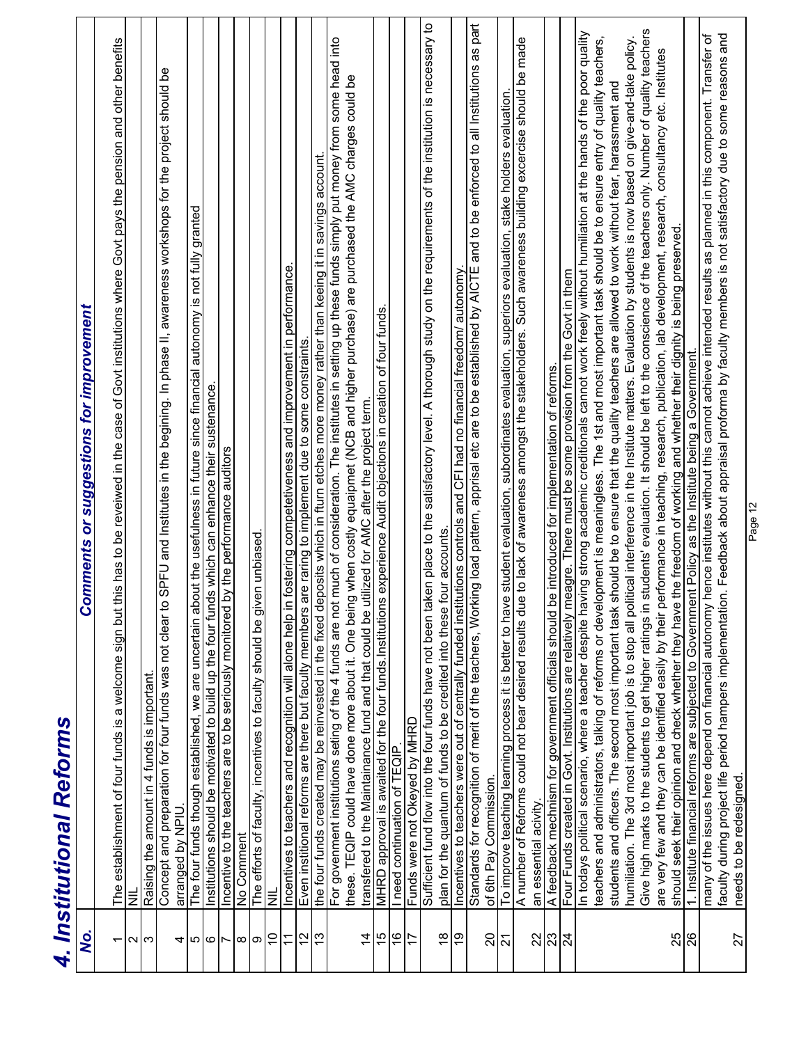|                          | 4. Institutional Reforms                                                                                                                                                                                                                                                                        |
|--------------------------|-------------------------------------------------------------------------------------------------------------------------------------------------------------------------------------------------------------------------------------------------------------------------------------------------|
| Q,                       | <b>Comments or suggestions for improvement</b>                                                                                                                                                                                                                                                  |
| $\overline{\phantom{0}}$ | The establishment of four funds is a welcome sign but this has to be reveiwed in the case of Govt institutions where Govt pays the pension and other benefits                                                                                                                                   |
| ∾∣ಌ                      | Ë                                                                                                                                                                                                                                                                                               |
|                          | Raising the amount in 4 funds is important                                                                                                                                                                                                                                                      |
| 4                        | to SPFU and Institutes in the begining. In phase II, awareness workshops for the project should be<br>Concept and preparation for four funds was not clear<br>arranged by NPIU.                                                                                                                 |
|                          | The four funds though established, we are uncertain about the usefulness in future since financial autonomy is not fully granted                                                                                                                                                                |
| ပေ (ထ                    | Institutions should be motivated to build up the four funds which can enhance their sustenance.                                                                                                                                                                                                 |
| $\overline{ }$           | Incentive to the teachers are to be seriously monitored by the performance auditors                                                                                                                                                                                                             |
| ထ တ                      | No Comment                                                                                                                                                                                                                                                                                      |
|                          | The efforts of faculty, incentives to faculty should be given unbiased                                                                                                                                                                                                                          |
| $\overline{C}$           | $\equiv$                                                                                                                                                                                                                                                                                        |
| $\overline{1}$           | in fostering competetiveness and improvement in performance.<br>Incentives to teachers and recognition will alone help                                                                                                                                                                          |
| $\frac{2}{13}$           | Even institional reforms are there but faculty members are raring to implement due to some constraints.                                                                                                                                                                                         |
|                          | the four funds created may be reinvested in the fixed deposits which in fturn etches more money rather than keeing it in savings account                                                                                                                                                        |
|                          | For govenment institutions seting of the 4 funds are not much of consideration. The institutes in setting up these funds simply put money from some head into                                                                                                                                   |
|                          | these. TEQIP could have done more about it. One being when costly equalpmet (NCB and higher purchase) are purchased the AMC charges could be                                                                                                                                                    |
| $\overline{4}$           | transfered to the Maintainance fund and that could be utilized for AMC after the project term.                                                                                                                                                                                                  |
| 15                       | MHRD approval is awaited for the four funds Institutions experience Audit objections in creation of four funds.                                                                                                                                                                                 |
| $\overline{0}$           | I need continuation of TEQIP                                                                                                                                                                                                                                                                    |
| $\frac{1}{2}$            | Funds were not Okeyed by MHRD                                                                                                                                                                                                                                                                   |
|                          | Sufficient fund flow into the four funds have not been taken place to the satisfactory level. A thorough study on the requirements of the institution is necessary to                                                                                                                           |
| $\frac{6}{10}$           | plan for the quantum of funds to be credited into these four accounts                                                                                                                                                                                                                           |
|                          | Incentives to teachers were out of centrally funded institutions controls and CFI had no financial freedom/ autonomy.                                                                                                                                                                           |
|                          | Standards for recognition of merit of the teachers, Working load pattern, apprisal etc are to be established by AICTE and to be enforced to all Institutions as part<br>of 6th Pay Commission                                                                                                   |
| ន $\frac{1}{2}$          | To improve teaching learning process it is better to have student evaluation, subordinates evaluation, superiors evaluation, stake holders evaluation.                                                                                                                                          |
|                          | A number of Reforms could not bear desired results due to lack of awareness amongst the stakeholders. Such awareness building excercise should be made                                                                                                                                          |
|                          | an essential acivity.                                                                                                                                                                                                                                                                           |
| $\frac{2}{3}$ នៃ         | be introduced for implementation of reforms.<br>A feedback mechnism for government officials should                                                                                                                                                                                             |
|                          | meagre. There must be some provision from the Govt in them<br>Four Funds created in Govt. Institutions are relatively                                                                                                                                                                           |
|                          | In todays political scenario, where a teacher despite having strong academic creditionals cannot work freely without humiliation at the hands of the poor quality                                                                                                                               |
|                          | teachers and administrators, talking of reforms or development is meaningless. The 1st and most important task should be to ensure entry of quality teachers,                                                                                                                                   |
|                          | students and officers. The second most important task should be to ensure that the quality teachers are allowed to work without fear, harassment and                                                                                                                                            |
|                          | humiliation. The 3rd most important job is to stop all political interference in the Institute matters. Evaluation by students is now based on give-and-take policy.                                                                                                                            |
|                          | n students' evaluation. It should be left to the conscience of the teachers only. Number of quality teachers<br>Give high marks to the students to get higher ratings i                                                                                                                         |
|                          | performance in teaching, research, publication, lab development, research, consultancy etc. Institutes<br>should seek their opinion and check whether they have the freedom of working and whether their dignity is being preserved.<br>are very few and they can be identified easily by their |
| $\frac{25}{26}$          | 1. Institute financial reforms are subjected to Government Policy as the Institute being a Government.                                                                                                                                                                                          |
|                          | many of the issues here depend on financial autonomy hence institutes without this cannot achieve intended results as planned in this component. Transfer of                                                                                                                                    |
|                          | faculty during project life period hampers implementation. Feedback about appraisal proforma by faculty members is not satisfactory due to some reasons and                                                                                                                                     |
| 27                       | needs to be redesigned                                                                                                                                                                                                                                                                          |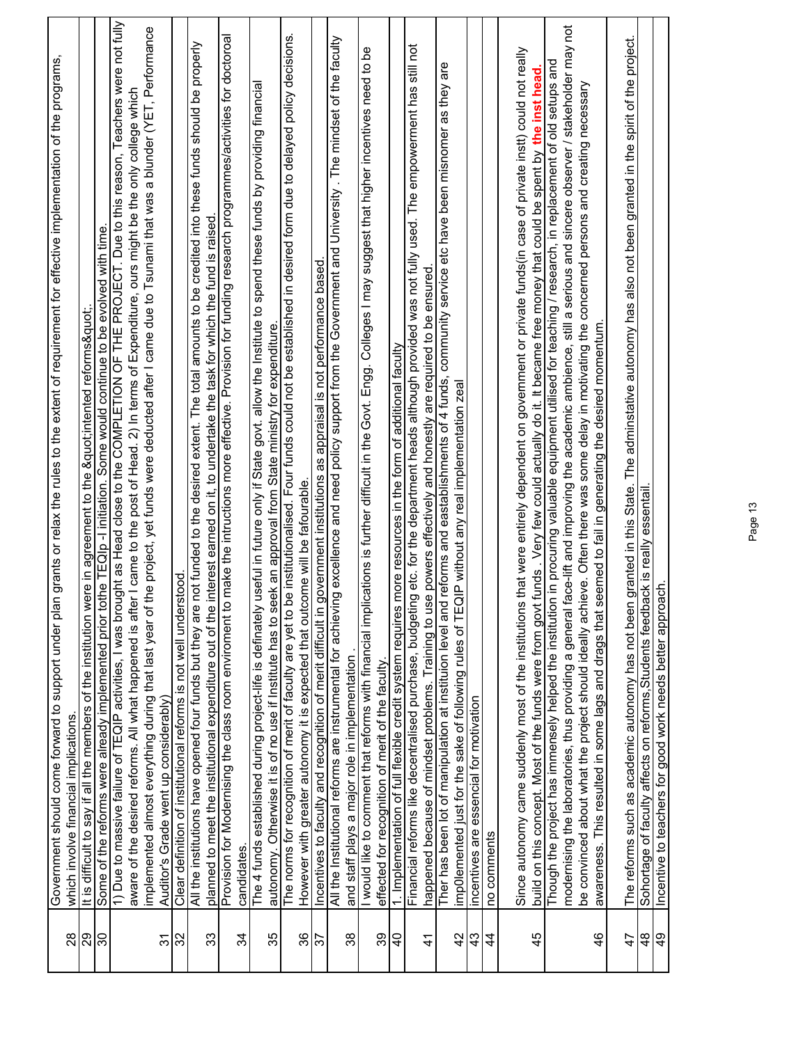|                          | n grants or relax the rules to the extent of requirement for effective implementation of the programs<br>Government should come forward to support under pla                                                                                                                       |
|--------------------------|------------------------------------------------------------------------------------------------------------------------------------------------------------------------------------------------------------------------------------------------------------------------------------|
| $^{28}$                  | which involve financial implications.                                                                                                                                                                                                                                              |
| 88                       | It is difficult to say if all the members of the institution were in agreement to the "intented reforms".                                                                                                                                                                          |
| 80                       | Some of the reforms were already implemented prior tothe TEQIp -I initiation. Some would continue to be evolved with time.                                                                                                                                                         |
|                          | 1) Due to massive failure of TEQIP activities, I was brought as Head close to the COMPLETION OF THE PROJECT. Due to this reason, Teachers were not fully                                                                                                                           |
|                          | aware of the desired reforms. All what happened is after I came to the post of Head. 2) In terms of Expenditure, ours might be the only college which                                                                                                                              |
|                          | the project, yet funds were deducted after I came due to Tsunami that was a blunder (YET, Performance<br>implemented almost everything during that last year of                                                                                                                    |
| 57                       | Auditor's Grade went up considerably)                                                                                                                                                                                                                                              |
| 32                       | stood.<br>Clear definition of institutional reforms is not well under                                                                                                                                                                                                              |
|                          | not funded to the desired extent. The total amounts to be credited into these funds should be properly<br>All the institutions have opened four funds but they are                                                                                                                 |
| 33                       | interest earned on it, to undertake the task for which the fund is raised<br>planned to meet the institutional expenditure out of the                                                                                                                                              |
|                          | Provision for Modernising the class room enviroment to make the intructions more effective. Provision for funding research programmes/activities for doctoroal                                                                                                                     |
| 34                       | candidates.                                                                                                                                                                                                                                                                        |
| 35                       | useful in future only if State govt. allow the Institute to spend these funds by providing financial<br>autonomy. Otherwise it is of no use if Institute has to seek an approval from State ministry for expenditure.<br>The 4 funds established during project-life is definately |
|                          | The norms for recognition of merit of faculty are yet to be institutionalised. Four funds could not be established in desired form due to delayed policy decisions.                                                                                                                |
| 36                       | However with greater autonomy it is expected that outcome will be fafourable.                                                                                                                                                                                                      |
| $\overline{\varepsilon}$ | as appraisal is not performance based<br>Incentives to faculty and recognition of merit difficult in government institutions                                                                                                                                                       |
|                          | All the Institutional reforms are instrumental for achieving excellence and need policy support from the Government and University. The mindset of the faculty                                                                                                                     |
| 38                       | and staff plays a major role in implementation                                                                                                                                                                                                                                     |
|                          | cations is further difficult in the Govt. Engg. Colleges I may suggest that higher incentives need to be<br>I would like to comment that reforms with financial impli-                                                                                                             |
| 39                       | effected for recognition of merit of the faculty.                                                                                                                                                                                                                                  |
| $\overline{4}$           | more resources in the form of additional faculty<br>1. Implementation of full flexible credit system requires                                                                                                                                                                      |
|                          | Financial reforms like decentralised purchase, budgeting etc. for the department heads although provided was not fully used. The empowerment has still not                                                                                                                         |
| $\frac{4}{3}$            | e powers effectively and honestly are required to be ensured<br>happened because of mindset problems. Training to us                                                                                                                                                               |
|                          | reforms and eastablishments of 4 funds, community service etc have been misnomer as they are<br>Ther has been lot of manipulation at instituion level and                                                                                                                          |
| $\overline{4}$           | <b>QIP</b> without any real implementation zeal<br>imp0lemented just for the sake of following rules of TEO                                                                                                                                                                        |
| 43                       | incentives are essencial for motivation                                                                                                                                                                                                                                            |
| $\frac{4}{4}$            | no comments                                                                                                                                                                                                                                                                        |
|                          | that were entirely dependent on government or private funds(in case of private instt) could not really<br>Since autonomy came suddenly most of the institutions                                                                                                                    |
| 45                       | funds . Very few could actually do it. It became free money that could be spent by the inst head<br>build on this concept. Most of the funds were from govt                                                                                                                        |
|                          | Though the project has immensely helped the institution in procuring valuable equipment utilised for teaching / research, in replacement of old setups and                                                                                                                         |
|                          | modernising the laboratories, thus providing a general face-lift and improving the academic ambience, still a serious and sincere observer / stakeholder may not                                                                                                                   |
|                          | eve. Often there was some delay in motivating the concerned persons and creating necessary<br>be convinced about what the project should ideally achi                                                                                                                              |
| $\frac{4}{6}$            | eemed to fail in generating the desired momentum<br>awareness. This resulted in some lags and drags that s                                                                                                                                                                         |
| $\overline{4}$           | granted in this State. The adminstative autonomy has also not been granted in the spirit of the project.<br>The reforms such as academic autonomy has not been                                                                                                                     |
| 48                       | Sohortage of faculty affects on reforms, Students feedback is really essentail                                                                                                                                                                                                     |
| $\frac{6}{7}$            | Incentive to teachers for good work needs better approach                                                                                                                                                                                                                          |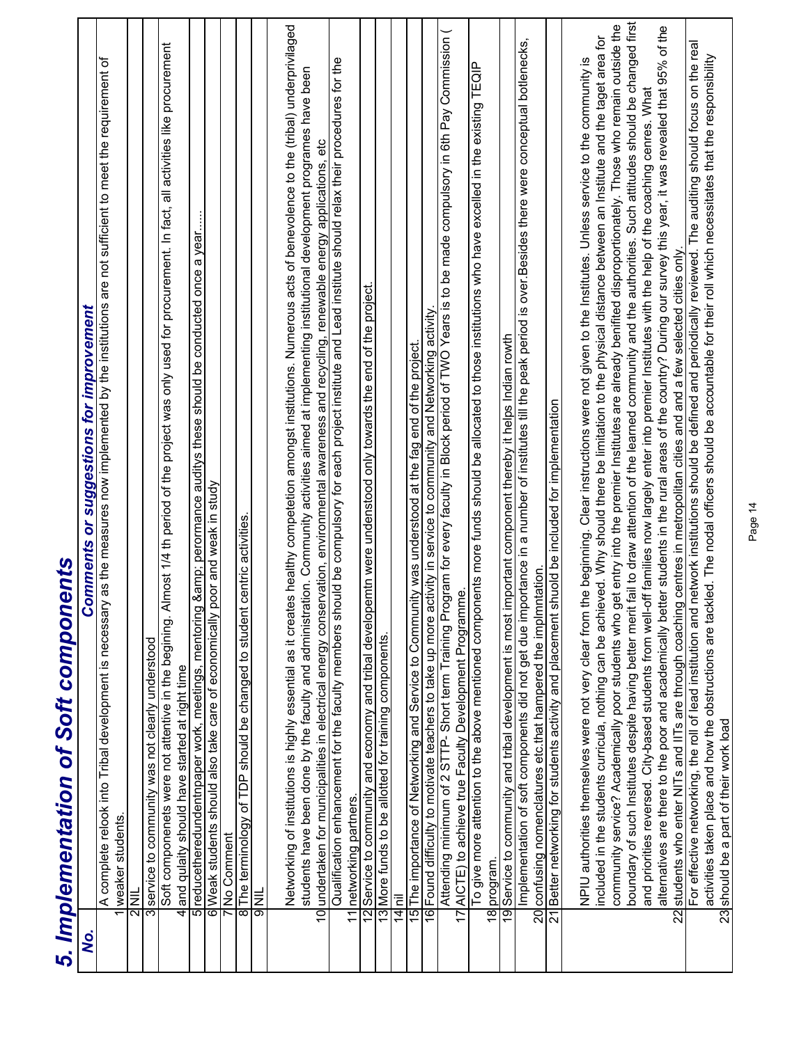|    | 2<br>1<br>5<br>1<br>5                                                                                                                                                                                                                                                                                                                                                                                                                                                                                                                                                                                                                                                                                                                                                                                                                   |
|----|-----------------------------------------------------------------------------------------------------------------------------------------------------------------------------------------------------------------------------------------------------------------------------------------------------------------------------------------------------------------------------------------------------------------------------------------------------------------------------------------------------------------------------------------------------------------------------------------------------------------------------------------------------------------------------------------------------------------------------------------------------------------------------------------------------------------------------------------|
| δ, | <b>Comments or suggestions for improvement</b>                                                                                                                                                                                                                                                                                                                                                                                                                                                                                                                                                                                                                                                                                                                                                                                          |
|    | A complete relook into Tribal development is necessary as the measures now implemented by the institutions are not sufficient to meet the requirement of                                                                                                                                                                                                                                                                                                                                                                                                                                                                                                                                                                                                                                                                                |
|    | weaker students.                                                                                                                                                                                                                                                                                                                                                                                                                                                                                                                                                                                                                                                                                                                                                                                                                        |
|    | $\overline{\overline{\overline{\overline{2}}}}$                                                                                                                                                                                                                                                                                                                                                                                                                                                                                                                                                                                                                                                                                                                                                                                         |
| 3  | service to community was not clearly understood                                                                                                                                                                                                                                                                                                                                                                                                                                                                                                                                                                                                                                                                                                                                                                                         |
| 4  | Soft componenets were not attentive in the begining. Almost 1/4 th period of the project was only used for procurement. In fact, all activities like procurement<br>and qulaity should have started at right time                                                                                                                                                                                                                                                                                                                                                                                                                                                                                                                                                                                                                       |
|    | & perormance auditys these should be conducted once a year<br>5 reducetheredundentnpaper work, meetings, mentoring                                                                                                                                                                                                                                                                                                                                                                                                                                                                                                                                                                                                                                                                                                                      |
|    | poor and weak in study<br>6 Weak students should also take care of economically                                                                                                                                                                                                                                                                                                                                                                                                                                                                                                                                                                                                                                                                                                                                                         |
|    | 7No Comment                                                                                                                                                                                                                                                                                                                                                                                                                                                                                                                                                                                                                                                                                                                                                                                                                             |
| 8  | centric activities.<br>The terminology of TDP should be changed to student                                                                                                                                                                                                                                                                                                                                                                                                                                                                                                                                                                                                                                                                                                                                                              |
|    | <b>AND</b>                                                                                                                                                                                                                                                                                                                                                                                                                                                                                                                                                                                                                                                                                                                                                                                                                              |
|    | Networking of institutions is highly essential as it creates healthy competetion amongst institutions. Numerous acts of benevolence to the (tribal) underprivilaged<br>students have been done by the faculty and administration. Community activities aimed at implementing institutional development programes have been<br>10 undertaken for municipalities in electrical energy conservation, environmental awareness and recycling, renewable energy applications, etc                                                                                                                                                                                                                                                                                                                                                             |
| 11 | Qualification enhancement for the faculty members should be compulsory for each project institute and Lead institute should relax their procedures for the<br>networking partners.                                                                                                                                                                                                                                                                                                                                                                                                                                                                                                                                                                                                                                                      |
|    | emtn were undenstood only towards the end of the project.<br>Service to community and economy and tribal develop                                                                                                                                                                                                                                                                                                                                                                                                                                                                                                                                                                                                                                                                                                                        |
|    | 13 More funds to be allotted for training components.                                                                                                                                                                                                                                                                                                                                                                                                                                                                                                                                                                                                                                                                                                                                                                                   |
|    | 14 <mark>l</mark> nil                                                                                                                                                                                                                                                                                                                                                                                                                                                                                                                                                                                                                                                                                                                                                                                                                   |
|    | 15 The importance of Networking and Service to Community was understood at the fag end of the project.                                                                                                                                                                                                                                                                                                                                                                                                                                                                                                                                                                                                                                                                                                                                  |
|    | 16 Found difficulty to motivate teachers to take up more activity in service to community and Networking activity                                                                                                                                                                                                                                                                                                                                                                                                                                                                                                                                                                                                                                                                                                                       |
|    | Attending minimum of 2 STTP- Short term Training Program for every faculty in Block period of TWO Years is to be made compulsory in 6th Pay Commission (<br>AICTE) to achieve true Faculty Development Programme.                                                                                                                                                                                                                                                                                                                                                                                                                                                                                                                                                                                                                       |
|    | To give more attention to the above mentioned components more funds should be allocated to those institutions who have excelled in the existing TEQIP<br>18 program.                                                                                                                                                                                                                                                                                                                                                                                                                                                                                                                                                                                                                                                                    |
|    | mportant component thereby it helps Indian rowth<br>19 Service to community and tribal development is most                                                                                                                                                                                                                                                                                                                                                                                                                                                                                                                                                                                                                                                                                                                              |
|    | Implementation of soft components did not get due importance in a number of institutes till the peak period is over Besides there were conceptual botlenecks,<br>20 confusing nomenclatures etc.that hampered the implmntation                                                                                                                                                                                                                                                                                                                                                                                                                                                                                                                                                                                                          |
|    | 21 Better networking for students activity and placement shuold be included for implementation                                                                                                                                                                                                                                                                                                                                                                                                                                                                                                                                                                                                                                                                                                                                          |
|    | boundary of such Institutes despite having better merit fail to draw attention of the learned community and the authorities. Such attitudes should be changed first<br>community service? Academically poor students who get entry into the premier Institutes are already benifited disproportionately. Those who remain outside the<br>included in the students curricula, nothing can be achieved. Why should there be limitation to the physical distance between an Institute and the taget area for<br>the beginning. Clear instructions were not given to the Institutes. Unless service to the community is<br>and priorities reversed. City-based students from well-off families now largely enter into premier Institutes with the help of the coaching cenres. What<br>NPIU authorities themselves were not very clear from |
| 22 | alternatives are there to the poor and academically better students in the rural areas of the country? During our survey this year, it was revealed that 95% of the<br>students who enter NITs and IITs are through coaching centres in metropolitan cities and and a few selected cities only.                                                                                                                                                                                                                                                                                                                                                                                                                                                                                                                                         |
|    | For effective networking, the roll of lead institution and network institutions should be defined and periodically reviewed. The auditing should focus on the real                                                                                                                                                                                                                                                                                                                                                                                                                                                                                                                                                                                                                                                                      |
|    | kled. The nodal officers should be accountable for their roll which necessitates that the responsibility<br>activities taken place and how the obstructions are tac<br>23 should be a part of their work load                                                                                                                                                                                                                                                                                                                                                                                                                                                                                                                                                                                                                           |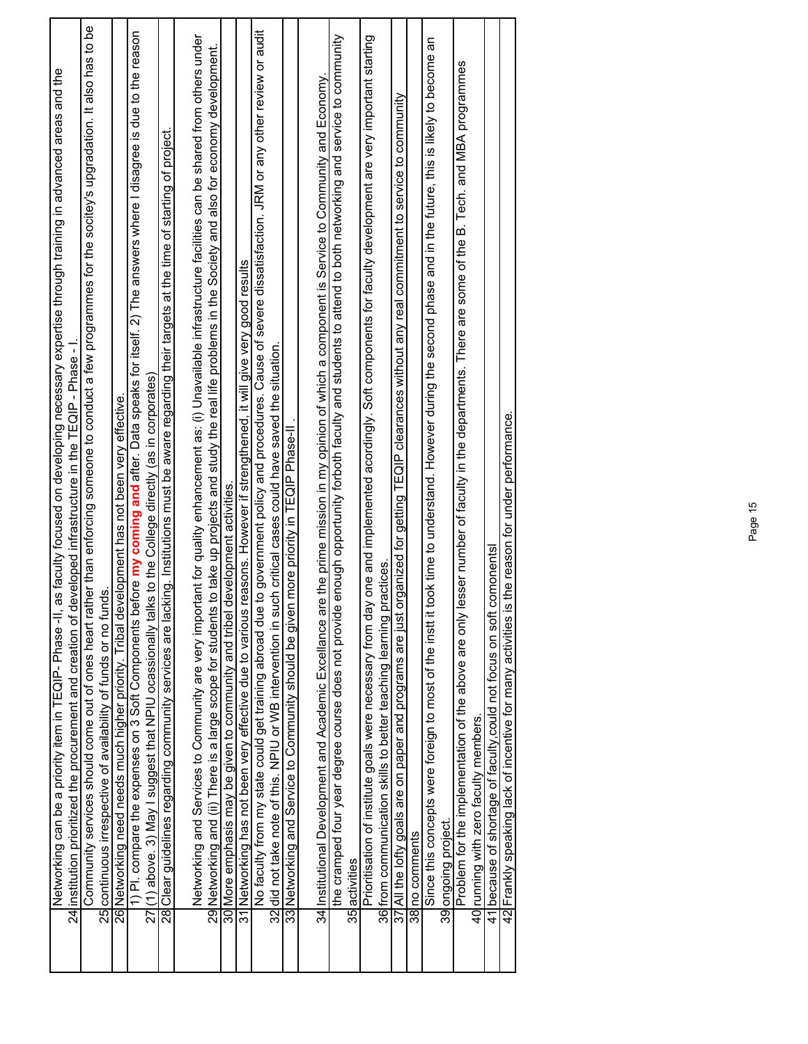| Networking can be a priority item in TEQIP- Phase -II, as faculty focused on developing necessary expertise through training in advanced areas and the<br>24 institution prioritized the procurement and creation of developed infrastructure in the TEQIP - Phase - I                                                              |
|-------------------------------------------------------------------------------------------------------------------------------------------------------------------------------------------------------------------------------------------------------------------------------------------------------------------------------------|
| Community services should come out of ones heart rather than enforcing someone to conduct a few programmes for the socitey's upgradation. It also has to be                                                                                                                                                                         |
| 25 continuous irrespective of availability of funds or no funds                                                                                                                                                                                                                                                                     |
| 26 Networking need needs much higher priority. Tribal development has not been very effective.                                                                                                                                                                                                                                      |
| 1) Pl. compare the expenses on 3 Soft Components before my coming and after. Data speaks for itself. 2) The answers where I disagree is due to the reason<br>27((1) above. 3) May I suggest that NPIU ocassionally talks to the College directly (as in corporates                                                                  |
| 28 Clear guidelines regarding community services are lacking. Institutions must be aware regarding their targets at the time of starting of project.                                                                                                                                                                                |
|                                                                                                                                                                                                                                                                                                                                     |
| Networking and Services to Community are very important for quality enhancement as: (i) Unavailable infrastructure facilities can be shared from others under<br>take up projects and study the real life problems in the Society and also for economy development.<br>29 Networking and (ii) There is a large scope for students ' |
| 30 More emphasis may be given to community and tribel development activities                                                                                                                                                                                                                                                        |
| reasons. However if strengthened, it will give very good results<br>31 Networking has not been very effective due to various                                                                                                                                                                                                        |
| to government policy and procedures. Cause of severe dissatisfaction. JRM or any other review or audit<br>No faculty from my state could get training abroad due                                                                                                                                                                    |
| 32 did not take note of this. NPIU or WB intervention in such critical cases could have saved the situation.                                                                                                                                                                                                                        |
| more priority in TEQIP Phase-I<br>33 Networking and Service to Community should be given                                                                                                                                                                                                                                            |
|                                                                                                                                                                                                                                                                                                                                     |
| 34 Institutional Development and Academic Excellance are the prime mission in my opinion of which a component is Service to Community and Economy.                                                                                                                                                                                  |
| enough opportunity forboth faculty and students to attend to both networking and service to community<br>the cramped four year degree course does not provide                                                                                                                                                                       |
| 35 activities                                                                                                                                                                                                                                                                                                                       |
| one and implemented acordingly. Soft components for faculty development are very important starting<br>Prioritisation of institute goals were necessary from day                                                                                                                                                                    |
| actices.<br>36 from communication skills to better teaching learning pr                                                                                                                                                                                                                                                             |
| 37 All the lofty goals are on paper and programs are just organized for getting TEQIP clearances without any real commitment to service to community                                                                                                                                                                                |
| 38 no comments                                                                                                                                                                                                                                                                                                                      |
| Since this concepts were foreign to most of the instt it took time to understand. However during the second phase and in the future, this is likely to become an                                                                                                                                                                    |
| 39 ongoing project.                                                                                                                                                                                                                                                                                                                 |
| Problem for the implementation of the above are only lesser number of faculty in the departments. There are some of the B. Tech. and MBA programmes                                                                                                                                                                                 |
| 40 running with zero faculty members.                                                                                                                                                                                                                                                                                               |
| 41 because of shortage of faculty, could not focus on soft comonents                                                                                                                                                                                                                                                                |
| the reason for under performance.<br>42 Frankly speaking lack of incentive for many activities is                                                                                                                                                                                                                                   |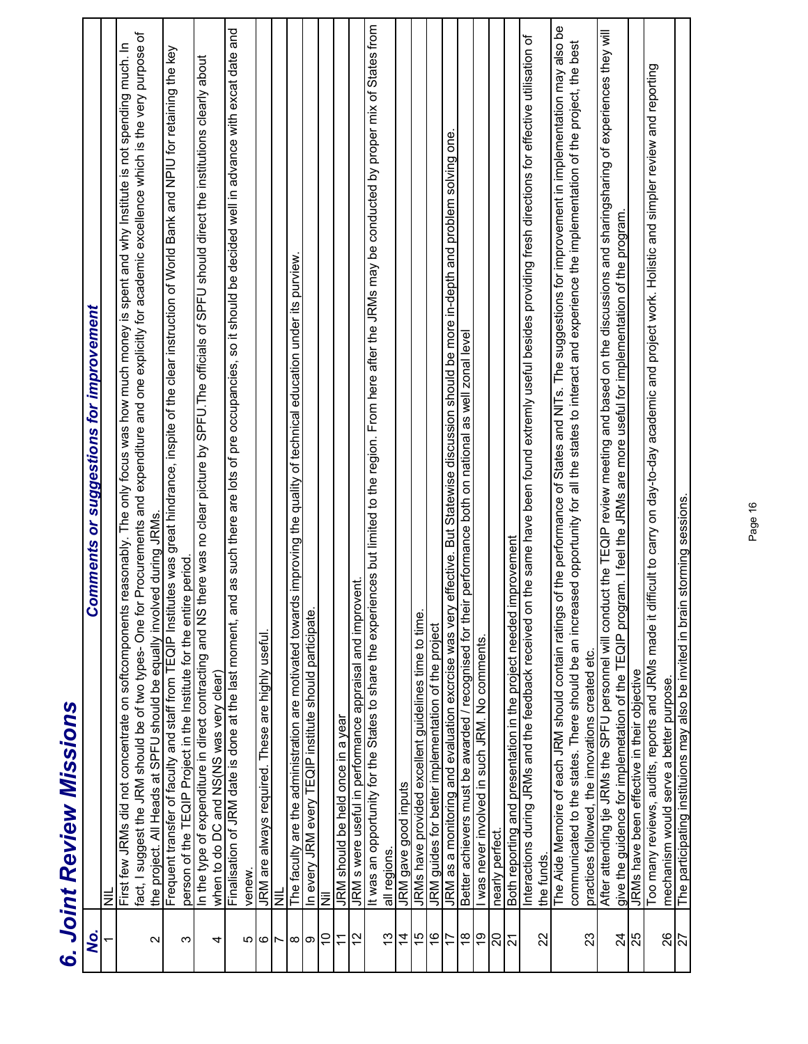| Ş                 | <b>Comments or suggestions for improvement</b>                                                                                                                                                                                                                                                                               |
|-------------------|------------------------------------------------------------------------------------------------------------------------------------------------------------------------------------------------------------------------------------------------------------------------------------------------------------------------------|
| $\overline{ }$    | $\equiv$                                                                                                                                                                                                                                                                                                                     |
| $\mathbf{\Omega}$ | for Procurements and expenditure and one explicitly for academic excellence which is the very purpose of<br>is reasonably. The only focus was how much money is spent and why Institute is not spending much. In<br>First few JRMs did not concentrate on softcomponen<br>fact, I suggest the JRM should be of two types-One |
| ო                 | the project. All Heads at SPFU should be equally involved during JRMs.<br>Frequent transfer of faculty and staff from TEQIP Institutes was great hindrance, inspite of the clear instruction of World Bank and NPIU for retaining<br>person of the TEQIP Project in the Institute for the entire period                      |
| 4                 | In the type of expenditure in direct contracting and NS there was no clear picture by SPFU.The officials of SPFU should direct the institutions clearly about<br>when to do DC and NS(NS was very clear)                                                                                                                     |
| Ю                 | Finalisation of JRM date is done at the last moment, and as such there are lots of pre occupancies, so it should be decided well in advance with excat date and<br>venew                                                                                                                                                     |
|                   | JRM are always required. These are highly useful.                                                                                                                                                                                                                                                                            |
| ం⊩                | $\equiv$                                                                                                                                                                                                                                                                                                                     |
| $\infty$          | The faculty are the administration are motivated towards improving the quality of technical education under its purview.                                                                                                                                                                                                     |
| တ                 | In every JRM every TEQIP institute should participate                                                                                                                                                                                                                                                                        |
| $\overline{0}$    | Ξ                                                                                                                                                                                                                                                                                                                            |
| $\overline{1}$    | JRM should be held once in a year                                                                                                                                                                                                                                                                                            |
| $\overline{12}$   | JRM s were useful in performance appraisal and improvent                                                                                                                                                                                                                                                                     |
|                   | It was an opportunity for the States to share the experiences but limited to the region. From here after the JRMs may be conducted by proper mix of States from                                                                                                                                                              |
| $\frac{3}{2}$     | all regions.                                                                                                                                                                                                                                                                                                                 |
| $\overline{4}$    | JRM gave good inputs                                                                                                                                                                                                                                                                                                         |
| $\frac{5}{2}$     | JRMs have provided excellent guidelines time to time                                                                                                                                                                                                                                                                         |
| $\frac{6}{5}$     | JRM guides for better implementation of the project                                                                                                                                                                                                                                                                          |
| 17                | JRM as a monitoring and evaluation excrcise was very effective. But Statewise discussion should be more in-depth and problem solving one.                                                                                                                                                                                    |
| $\frac{8}{1}$     | Better achievers must be awarded / recognised for their performance both on national as well zonal level                                                                                                                                                                                                                     |
| <u>ဝှ</u>         | I was never involved in such JRM. No comments.                                                                                                                                                                                                                                                                               |
| 20                | nearly perfect                                                                                                                                                                                                                                                                                                               |
| $\overline{2}$    | <i>improvement</i><br>Both reporting and presentation in the project needed                                                                                                                                                                                                                                                  |
| 22                | on the same have been found extremly useful besides providing fresh directions for effective utilisation of<br>Interactions during JRMs and the feedback received<br>the funds.                                                                                                                                              |
|                   | The Aide Memoire of each JRM should contain ratings of the performance of States and NITs. The suggestions for improvement in implementation may also be                                                                                                                                                                     |
|                   | communicated to the states. There should be an increased opportunity for all the states to interact and experience the implementation of the project, the best                                                                                                                                                               |
| 23                | practices followed, the innovations created etc.                                                                                                                                                                                                                                                                             |
|                   | After attending tje JRMs the SPFU personnel will conduct the TEQIP review meeting and based on the discussions and sharingsharing of experiences they will                                                                                                                                                                   |
| $\overline{2}$    | give the guidence for implemetation of the TEQIP program. I feel the JRMs are more useful for implementation of the program.                                                                                                                                                                                                 |
| 25                | JRMs have been effective in their objective                                                                                                                                                                                                                                                                                  |
|                   | difficult to carry on day-to-day academic and project work. Holistic and simpler review and reporting<br>Too many reviews, audits, reports and JRMs made it                                                                                                                                                                  |
| 26                | mechanism would serve a better purpose.                                                                                                                                                                                                                                                                                      |
| 27                | The participating instituions may also be invited in brain storming sessions.                                                                                                                                                                                                                                                |

## **Joint Review Missions** *6. Joint Review Missions*  $\tilde{c}$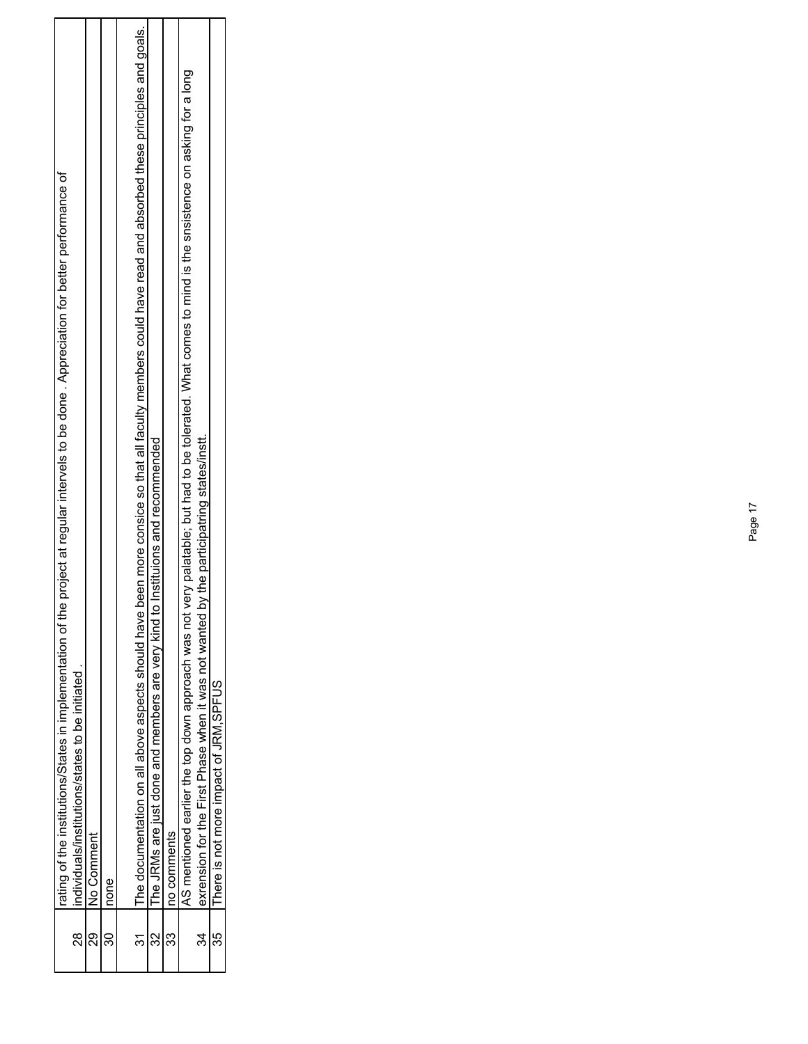|         | rating of the institutions/States in implementation of the project at regular intervels to be done. Appreciation for better performance of                   |
|---------|--------------------------------------------------------------------------------------------------------------------------------------------------------------|
| 8<br>20 | individuals/institutions/states to be initiated                                                                                                              |
| న్ల     | No Comment                                                                                                                                                   |
|         | none                                                                                                                                                         |
|         | been more consice so that all faculty members could have read and absorbed these principles and goals.<br>The documentation on all above aspects should have |
|         | The JRMs are just done and members are very kind to Instituions and recommended                                                                              |
|         | no comments                                                                                                                                                  |
|         | very palatable; but had to be tolerated. What comes to mind is the snsistence on asking for a long<br>AS mentioned earlier the top down approach was not \   |
| 34      | by the participatring states/instt.<br>exrension for the First Phase when it was not wanted                                                                  |
|         | There is not more impact of JRM, SPFUS                                                                                                                       |
|         |                                                                                                                                                              |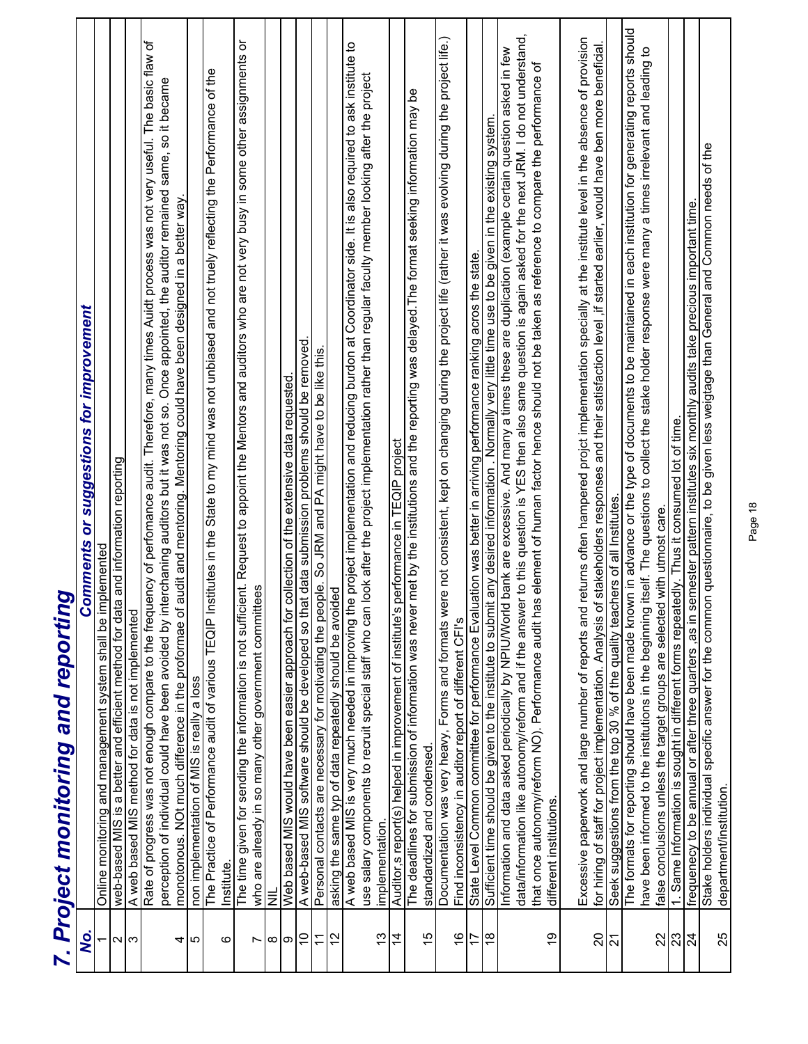|                 | 9<br>7. Project monitoring and reportin                                                                                                                                                                                                                                                |
|-----------------|----------------------------------------------------------------------------------------------------------------------------------------------------------------------------------------------------------------------------------------------------------------------------------------|
| Q.              | or suggestions for improvement<br><b>Comments</b>                                                                                                                                                                                                                                      |
|                 | Online monitoring and management system shall be implemented                                                                                                                                                                                                                           |
| $\mathbf{a}$    | web-based MIS is a better and efficient method for data and information reporting                                                                                                                                                                                                      |
| က               | A web based MIS method for data is not implemented                                                                                                                                                                                                                                     |
|                 | Rate of progress was not enough compare to the frequency of perfomance audit. Therefore, many times Auidt process was not very useful. The basic flaw of                                                                                                                               |
|                 | perception of individual could have been avoided by interchaning auditors but it was not so. Once appointed, the auditor remained same, so it became<br>audit and mentoring. Mentoring could have been designed in a better way<br>monotonous. NOt much difference in the proformae of |
| 4<br>Ю          | non implementation of MIS is really a loss                                                                                                                                                                                                                                             |
|                 | stitutes in the State to my mind was not unbiased and not truely reflecting the Performance of the<br>The Practice of Performance audit of various TEQIP In                                                                                                                            |
| ဖ               | Institute                                                                                                                                                                                                                                                                              |
|                 | ŏ<br>Request to appoint the Mentors and auditors who are not very busy in some other assignments<br>The time given for sending the information is not sufficient.                                                                                                                      |
| r               | tees<br>who are already in so many other government committ                                                                                                                                                                                                                            |
| ∞               | Ξ                                                                                                                                                                                                                                                                                      |
| တ               | collection of the extensive data requested<br>Web based MIS would have been easier approach for                                                                                                                                                                                        |
| S               | A web-based MIS software should be developed so that data submission problems should be removed                                                                                                                                                                                        |
| $\overline{1}$  | Personal contacts are necessary for motivating the people. So JRM and PA might have to be like this                                                                                                                                                                                    |
| $\overline{12}$ | asking the same typ of data repeatedly should be avoided                                                                                                                                                                                                                               |
|                 | e project implementation and reducing burdon at Coordinator side. It is also required to ask institute to<br>A web based MIS is very much needed in improving th                                                                                                                       |
| 13              | look after the project implementation rather than regular faculty member looking after the project<br>use salary components to recruit special staff who can<br>implementation                                                                                                         |
| $\frac{4}{4}$   | performance in TEQIP project<br>Auditor, s report(s) helped in improvement of institute's                                                                                                                                                                                              |
|                 | The deadlines for submission of information was never met by the institutions and the reporting was delayed. The format seeking information may be                                                                                                                                     |
| 15              | standardized and condensed.                                                                                                                                                                                                                                                            |
|                 | Documentation was very heavy, Forms and formats were not consistent, kept on changing during the project life (rather it was evolving during the project life.)                                                                                                                        |
| $\frac{8}{1}$   | Find inconsistency in auditor report of different CFI's                                                                                                                                                                                                                                |
| 17              | State Level Common committee for performance Evaluation was better in arriving performance ranking acros the state.                                                                                                                                                                    |
| $\frac{8}{1}$   | Sufficient time should be given to the institute to submit any desired information . Normally very little time use to be given in the existing system.                                                                                                                                 |
|                 | Information and data asked periodically by NPIU/World bank are excessive. And many a times these are duplication (example certain question asked in few                                                                                                                                |
|                 | data/information like autonomy/reform and if the answer to this question is YES then also same question is again asked for the next JRM. I do not understand,                                                                                                                          |
|                 | is element of human factor hence should not be taken as reference to compare the performance of<br>that once autonomy/reform NO). Performance audit ha                                                                                                                                 |
| бĻ              | different institutions                                                                                                                                                                                                                                                                 |
|                 | Excessive paperwork and large number of reports and returns often hampered projot implementation specially at the institute level in the absence of provision                                                                                                                          |
| 20              | for hiring of staff for project implementation. Analysis of stakeholders responses and their satisfaction level, if started earlier, would have ben more beneficial                                                                                                                    |
| $\overline{2}$  | Seek suggestions from the top 30 % of the quality teachers of all Institutes                                                                                                                                                                                                           |
|                 | The formats for reporting should have been made known in advance or the type of documents to be maintained in each institution for generating reports should                                                                                                                           |
|                 | have been informed to the institutions in the beginning itself. The questions to collect the stake holder response were many a times irrelevant and leading to                                                                                                                         |
| 22              | false conclusions unless the target groups are selected with utmost care.                                                                                                                                                                                                              |
| 23              | 1. Same Information is sought in different forms repeatedly. Thus it consumed lot of time.                                                                                                                                                                                             |
| 24              | frequenecy to be annual or after three quarters ,as in semester pattern institutes six monthly audits take precious important time.<br>Stake holders individual specific answer for the common questionnaire, to be given less we                                                      |
| 25              |                                                                                                                                                                                                                                                                                        |
|                 | department/institution                                                                                                                                                                                                                                                                 |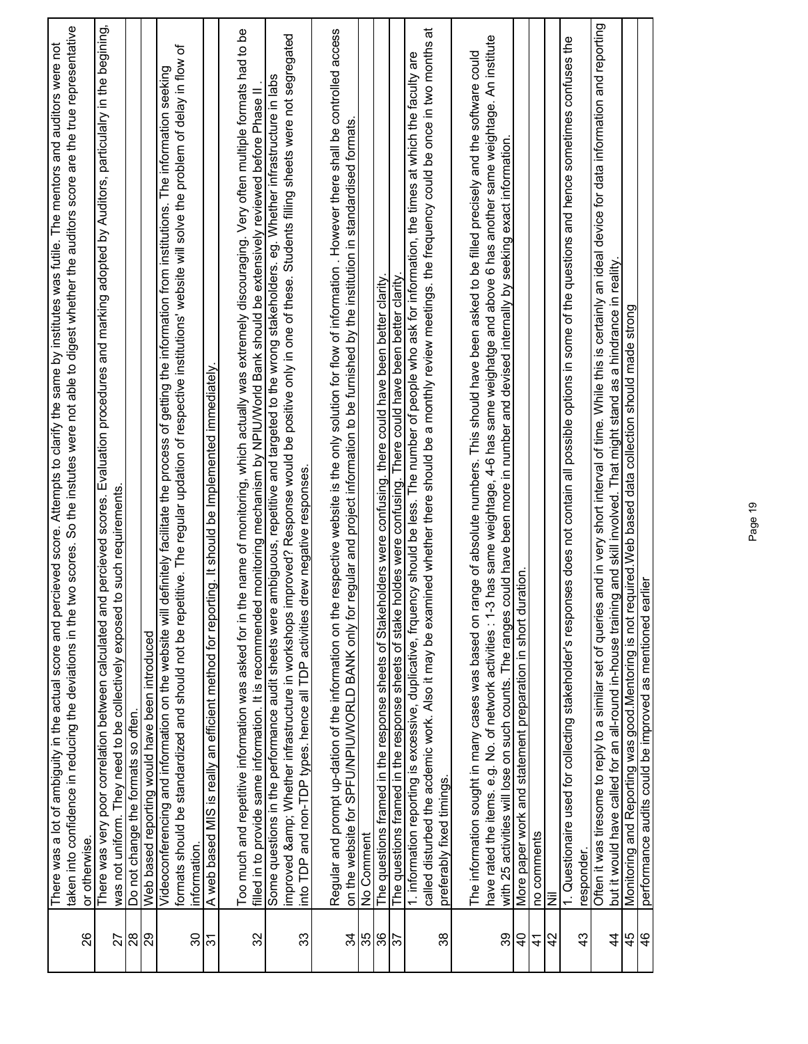|                | taken into confidence in reducing the deviations in the two scores. So the instutes were not able to digest whether the auditors score are the true representative<br>There was a lot of ambiguity in the actual score and percieved score. Attempts to clarify the same by institutes was futile. The mentors and auditors were not                                                           |
|----------------|------------------------------------------------------------------------------------------------------------------------------------------------------------------------------------------------------------------------------------------------------------------------------------------------------------------------------------------------------------------------------------------------|
| 26             | or otherwise.                                                                                                                                                                                                                                                                                                                                                                                  |
| 27             | There was very poor correlation between calculated and percieved scores. Evaluation procedures and marking adopted by Auditors, particulalry in the begining,<br>to such requirements.<br>was not uniform. They need to be collectively exposed                                                                                                                                                |
| $\frac{8}{2}$  | Do not change the formats so often.                                                                                                                                                                                                                                                                                                                                                            |
| 29             | Web based reporting would have been introduced                                                                                                                                                                                                                                                                                                                                                 |
| 30             | formats should be standardized and should not be repetitive. The regular updation of respective institutions' website will solve the problem of delay in flow of<br>Videoconferencing and information on the website will definitely facilitate the process of getting the information from institutions. The information seeking<br>information.                                              |
| $\overline{5}$ | ing. It should be Implemented immediately.<br>A web based MIS is really an efficient method for report                                                                                                                                                                                                                                                                                         |
| 32             | e name of monitoring, which actually was extremely discouraging. Very often multiple formats had to be<br>monitoring mechanism by NPIU/World Bank should be extensively reviewed before Phase II<br>Too much and repetitive information was asked for in th<br>filled in to provide same information. It is recommended                                                                        |
| 33             | improved & Whether infrastructure in workshops improved? Response would be positive only in one of these. Students filling sheets were not segregated<br>Some questions in the performance audit sheets were ambiguous, repetitive and targeted to the wrong stakeholders. eg. Whether infrastructure in labs<br>into TDP and non-TDP types. hence all TDP activities drew negative responses. |
|                | respective website is the only solution for flow of information. However there shall be controlled access<br>Regular and prompt up-dation of the information on the                                                                                                                                                                                                                            |
| 34             | regular and project information to be furnished by the institution in standardised formats<br>on the website for SPFU/NPIU/WORLD BANK only for                                                                                                                                                                                                                                                 |
| 35             | No Comment                                                                                                                                                                                                                                                                                                                                                                                     |
| 36             | olders were confusing. there could have been better clarity.<br>The questions framed in the response sheets of Stakeh                                                                                                                                                                                                                                                                          |
| $\frac{2}{3}$  | The questions framed in the response sheets of stake holdes were confusing. There could have been better clarity                                                                                                                                                                                                                                                                               |
| 38             | ಸ<br>called disturbed the acdemic work. Also it may be examined whether there should be a monthly review meetings. the frequency could be once in two months<br>1. information reporting is excessive, duplicative, frquency should be less. The number of people who ask for information, the times at which the faculty are<br>preferably fixed timings.                                     |
|                | The information sought in many cases was based on range of absolute numbers. This should have been asked to be filled precisely and the software could                                                                                                                                                                                                                                         |
|                | has same weightage, 4-6 has same weighatge and above 6 has another same weightage. An institute<br>have rated the items. e.g. No. of network activities: 1-3                                                                                                                                                                                                                                   |
| 39             | with 25 activities will lose on such counts. The ranges could have been more in number and devised internally by seeking exact information.                                                                                                                                                                                                                                                    |
| $\frac{1}{2}$  | More paper work and statement preparation in short duration.                                                                                                                                                                                                                                                                                                                                   |
| $\frac{4}{3}$  | no comments                                                                                                                                                                                                                                                                                                                                                                                    |
| $\overline{4}$ | Ξ                                                                                                                                                                                                                                                                                                                                                                                              |
| $\frac{3}{4}$  | ses does not contain all possible options in some of the questions and hence sometimes confuses the<br>1. Questionaire used for collecting stakeholder's respon<br>responder.                                                                                                                                                                                                                  |
| 4              | and in very short interval of time. While this is certainly an ideal device for data information and reporting<br>but it would have called for an all-round in-house training and skill involved. That might stand as a hindrance in reality.<br>Often it was tiresome to reply to a similar set of queries                                                                                    |
| 45             | Monitoring and Reporting was good.Mentoring is not required.Web based data collection should made strong                                                                                                                                                                                                                                                                                       |
| $\frac{4}{6}$  | performance audits could be improved as mentioned earlier                                                                                                                                                                                                                                                                                                                                      |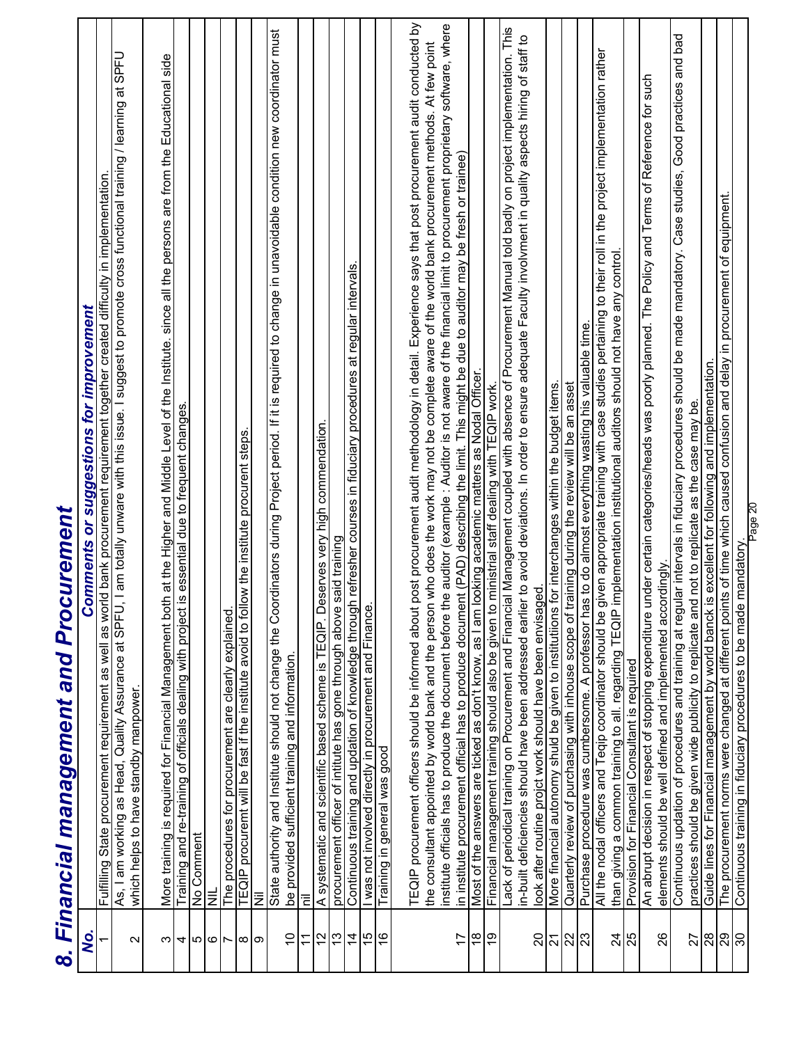|                                        | curement<br>8. Financial management and Pro                                                                                                                                                                                       |
|----------------------------------------|-----------------------------------------------------------------------------------------------------------------------------------------------------------------------------------------------------------------------------------|
| Q.                                     | <b>Comments or suggestions for improvement</b>                                                                                                                                                                                    |
|                                        | Fufilling State procurement requirement as well as world bank procurement requirement together created difficulty in implementation.<br>As, I am working as Head, Quality Assurance at SPFU, I am totally unware with this issue. |
| $\sim$                                 | which helps to have standby manpower                                                                                                                                                                                              |
| ന∣                                     | More training is required for Financial Management both at the Higher and Middle Level of the Institute. since all the persons are from the Educational side<br>Training and re-training of officials dealing with project is ess |
| ⊄∣   ს                                 | No Comment                                                                                                                                                                                                                        |
| $\circ$                                | Ξ                                                                                                                                                                                                                                 |
| $\overline{ }$                         | The procedures for procurement are clearly explained                                                                                                                                                                              |
|                                        | TEQIP procuremt will be fast if the institute avoid to follow the institute procurent steps.                                                                                                                                      |
| $\infty$ $\infty$                      | 亖                                                                                                                                                                                                                                 |
| $\tilde{0}$                            | State authority and Institute should not change the Coordinators during Project period. If it is required to change in unavoidable condition new coordinator must<br>be provided sufficient training and information              |
| $\tilde{\tau}$                         | Ξ                                                                                                                                                                                                                                 |
| 12                                     | Deserves very high commendation.<br>A systematic and scientific based scheme is TEQIP.                                                                                                                                            |
| $\frac{3}{2}$                          |                                                                                                                                                                                                                                   |
| $\dot{4}$                              | procurement officer of intitute has gone through above said training<br>Continuous training and updation of knowledge through refresher courses in fiduciary procedures at regular intervals                                      |
| 15                                     | I was not involved directly in procurement and Finance.                                                                                                                                                                           |
| $\frac{6}{5}$                          | Training in general was good                                                                                                                                                                                                      |
|                                        | TEQIP procurement officers should be informed about post procurement audit methodology in detail. Experience says that post procurement audit conducted by                                                                        |
|                                        | the consultant appointed by world bank and the person who does the work may not be complete aware of the world bank procurement methods. At few point                                                                             |
|                                        | institute officials has to produce the document before the auditor (example : Auditor is not aware of the financial limit to procurement proprietary software, where                                                              |
| 17                                     | in institute procurement official has to produce document (PAD) describing the limit. This might be due to auditor may be fresh or trainee)                                                                                       |
| $\frac{8}{1}$                          | Most of the answers are ticked as don't know, as I am looking academic matters as Nodal Officer                                                                                                                                   |
| <u>ღ</u>                               | Financial management training should also be given to ministrial staff dealing with TEQIP work.                                                                                                                                   |
|                                        | Lack of periodical training on Procurement and Financial Management coupled with absence of Procurement Manual told badly on project implementation. This                                                                         |
| 20                                     | in-built deficiencies should have been addressed earlier to avoid deviations. In order to ensure adequate Faculty involvment in quality aspects hiring of staff to<br>look after routine projct work should have been envisaged.  |
| 21                                     | More financial autonomy shuld be given to institutiions for interchanges within the budget items.                                                                                                                                 |
| ន $ 8 $ ន                              |                                                                                                                                                                                                                                   |
|                                        | Quarterly review of purchasing with inhouse scope of training during the review will be an asset<br>Purchase procedure was cumbersome. A professor has to do almost everything wasting his valuable time                          |
|                                        | given appropriate training with case studies pertaining to their roll in the project implementation rather<br>All the nodal officers and Teqip coordinator should be                                                              |
| $\overline{24}$                        | than giving a common training to all. regarding TEQIP implementation institutional auditors should not have any control.                                                                                                          |
| 25                                     | Provision for Financial Consultant is required                                                                                                                                                                                    |
| 26                                     | under certain categories/heads was poorly planned. The Policy and Terms of Reference for such<br>elements should be well defined and implemented accordingly.<br>An abrupt decision in respect of stopping expenditure            |
|                                        | Continuous updation of procedures and training at regular intervals in fiduciary procedures should be made mandatory. Case studies, Good practices and bad                                                                        |
| 27                                     | practices should be given wide publicity to replicate and not to replicate as the case may be.                                                                                                                                    |
| 28                                     | Guide lines for Financial management by world banck is excellent for following and implementation.                                                                                                                                |
| $\overline{29}$<br>$\overline{\infty}$ | The procurement norms were changed at different points of time which caused confusion and delay in procurement of equipment.                                                                                                      |
|                                        | Page 20<br>Continuous training in fiduciary procedures to be made mandatory                                                                                                                                                       |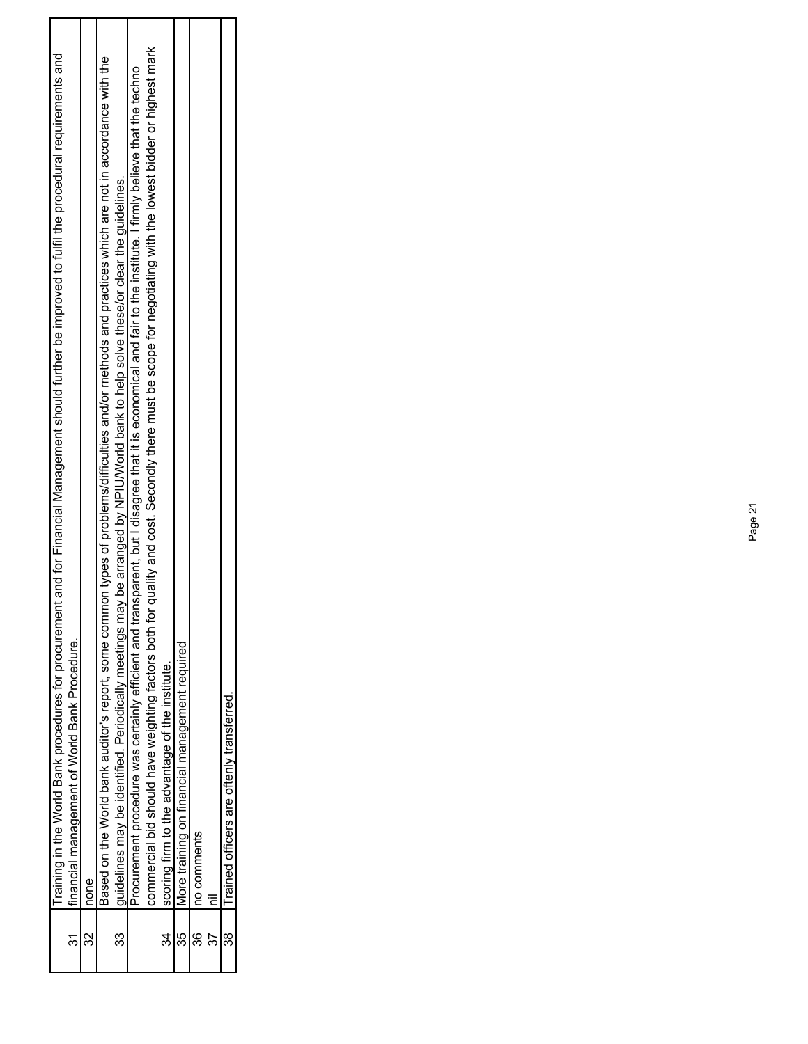|    | t and for Financial Management should further be improved to fulfil the procedural requirements and<br>Training in the World Bank procedures for procurement    |
|----|-----------------------------------------------------------------------------------------------------------------------------------------------------------------|
|    | financial management of World Bank Procedure.                                                                                                                   |
|    | none                                                                                                                                                            |
|    | Based on the World bank auditor's report, some common types of problems/difficulties and/or methods and practices which are not in accordance with the          |
| 33 | guidelines may be identified. Periodically meetings may be arranged by NPIU/World bank to help solve these/or clear the guidelines.                             |
|    | Procurement procedure was certainly efficient and transparent, but I disagree that it is economical and fair to the institute. I firmly believe that the techno |
|    | quality and cost. Secondly there must be scope for negotiating with the lowest bidder or highest mark<br>commercial bid should have weighting factors both for  |
|    | scoring firm to the advantage of the institute.                                                                                                                 |
|    | More training on financial management required                                                                                                                  |
| 36 | no comments                                                                                                                                                     |
|    |                                                                                                                                                                 |
| 38 | Trained officers are oftenly transferred                                                                                                                        |
|    |                                                                                                                                                                 |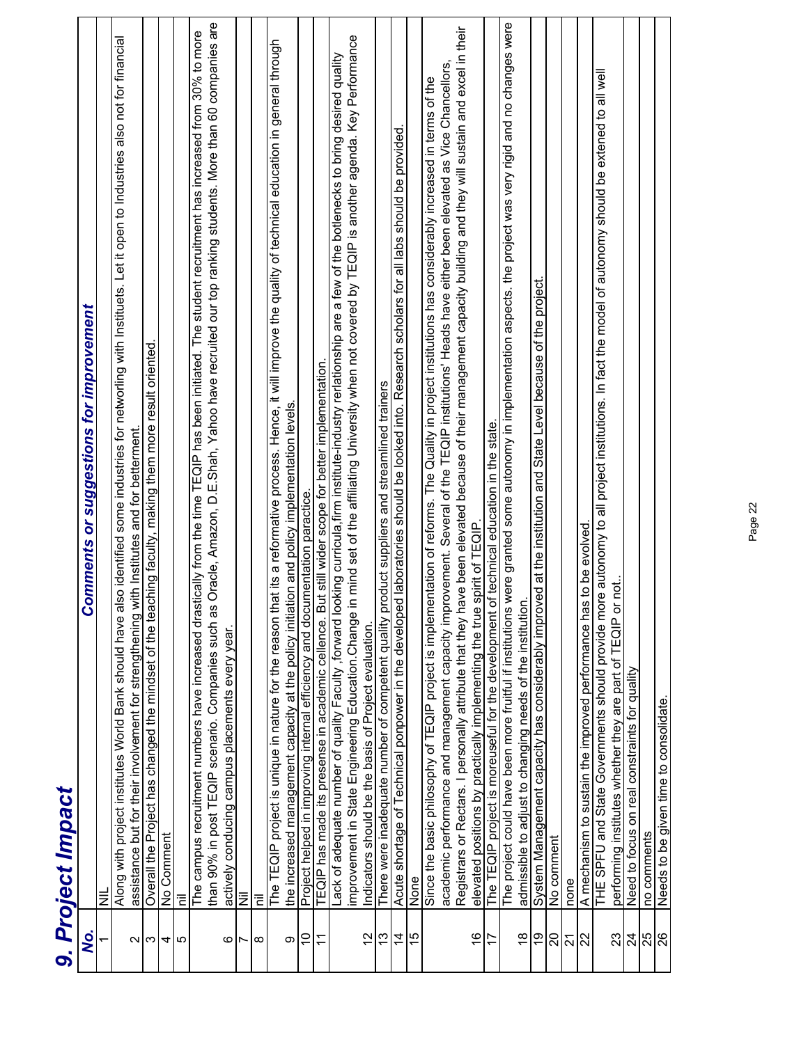|                         | 9. Project Impact                                                                                                                                                                                                                                                                                                                                                        |
|-------------------------|--------------------------------------------------------------------------------------------------------------------------------------------------------------------------------------------------------------------------------------------------------------------------------------------------------------------------------------------------------------------------|
| Q,                      | <b>Comments or suggestions for improvement</b>                                                                                                                                                                                                                                                                                                                           |
|                         | $\equiv$                                                                                                                                                                                                                                                                                                                                                                 |
|                         | Along with project institutes World Bank should have also identified some industries for networling with Instituets. Let it open to Industries also not for financial<br>assistance but for their involvement for strengthening with Institutes and for betterment.                                                                                                      |
| ∾∣ಌ                     | Overall the Project has changed the mindset of the teaching faculty, making them more result oriented.                                                                                                                                                                                                                                                                   |
| 4                       | No Comment                                                                                                                                                                                                                                                                                                                                                               |
| 5                       | Έ                                                                                                                                                                                                                                                                                                                                                                        |
| ဖ                       | Oracle, Amazon, D.E.Shah, Yahoo have recruited our top ranking students. More than 60 companies are<br>The campus recruitment numbers have increased drastically from the time TEQIP has been initiated. The student recruitment has increased from 30% to more<br>than 90% in post TEQIP scenario. Companies such as<br>actively conducing campus placements every year |
| $\overline{ }$          | $\bar{z}$                                                                                                                                                                                                                                                                                                                                                                |
| $\infty$                | Ξ                                                                                                                                                                                                                                                                                                                                                                        |
| တ                       | The TEQIP project is unique in nature for the reason that its a reformative process. Hence, it will improve the quality of technical education in general through<br>the increased management capacity at the policy initiation and policy implementation levels.                                                                                                        |
| $\tilde{c}$             | Project helped in improving internal efficiency and documentation paractice                                                                                                                                                                                                                                                                                              |
| $\overline{\mathbf{r}}$ | TEQIP has made its presense in academic cellence. But still wider scope for better implementation.                                                                                                                                                                                                                                                                       |
|                         | in mind set of the affiliating University when not covered by TEQIP is another agenda. Key Performance<br>Lack of adequate number of quality Faculty ,forward looking curricula,firm institute-industry rerlationship are a few of the botlenecks to bring desired quality<br>improvement in State Engineering Education.Change                                          |
| 12                      | Indicators should be the basis of Project evaluation.                                                                                                                                                                                                                                                                                                                    |
| 13                      | There were inadequate number of competent quality product suppliers and streamlined trainers                                                                                                                                                                                                                                                                             |
| $\overline{4}$          | Acute shortage of Technical ponpower in the developed laboratories should be looked into. Research scholars for all labs should be provided.                                                                                                                                                                                                                             |
| $\overline{5}$          | None                                                                                                                                                                                                                                                                                                                                                                     |
|                         | academic performance and management capacity improvement. Several of the TEQIP institutions' Heads have either been elevated as Vice Chancellors<br>Since the basic philosophy of TEQIP project is implementation of reforms. The Quality in project institutions has considerably increased in terms of the                                                             |
| $\frac{6}{5}$           | Registrars or Rectars. I personally attribute that they have been elevated because of their management capacity building and they will sustain and excel in their<br>elevated positions by practically implementing the true spirit of TEQIP.                                                                                                                            |
| $\overline{1}$          | of technical education in the state.<br>The TEQIP project is moreuseful for the development                                                                                                                                                                                                                                                                              |
| $\frac{8}{10}$          | The project could have been more fruitful if institutions were granted some autonomy in implementation aspects. the project was very rigid and no changes were<br>admissible to adjust to changing needs of the institution.                                                                                                                                             |
| စ္                      | System Management capacity has considerably improved at the institution and State Level because of the project.                                                                                                                                                                                                                                                          |
| $\overline{0}$          | No comment                                                                                                                                                                                                                                                                                                                                                               |
| ភ $\frac{2}{3}$         | none                                                                                                                                                                                                                                                                                                                                                                     |
|                         | A mechanism to sustain the improved performance has to be evolved                                                                                                                                                                                                                                                                                                        |
|                         | THE SPFU and State Governments should provide more autonomy to all project institutions. In fact the model of autonomy should be extened to all well                                                                                                                                                                                                                     |
| 23                      | performing institutes whether they are part of TEQIP or not.                                                                                                                                                                                                                                                                                                             |
|                         | Need to focus on real constraints for quality                                                                                                                                                                                                                                                                                                                            |
| $\frac{1}{2}$ ನ್ನಿ      | no comments                                                                                                                                                                                                                                                                                                                                                              |
|                         | Needs to be given time to consolidate.                                                                                                                                                                                                                                                                                                                                   |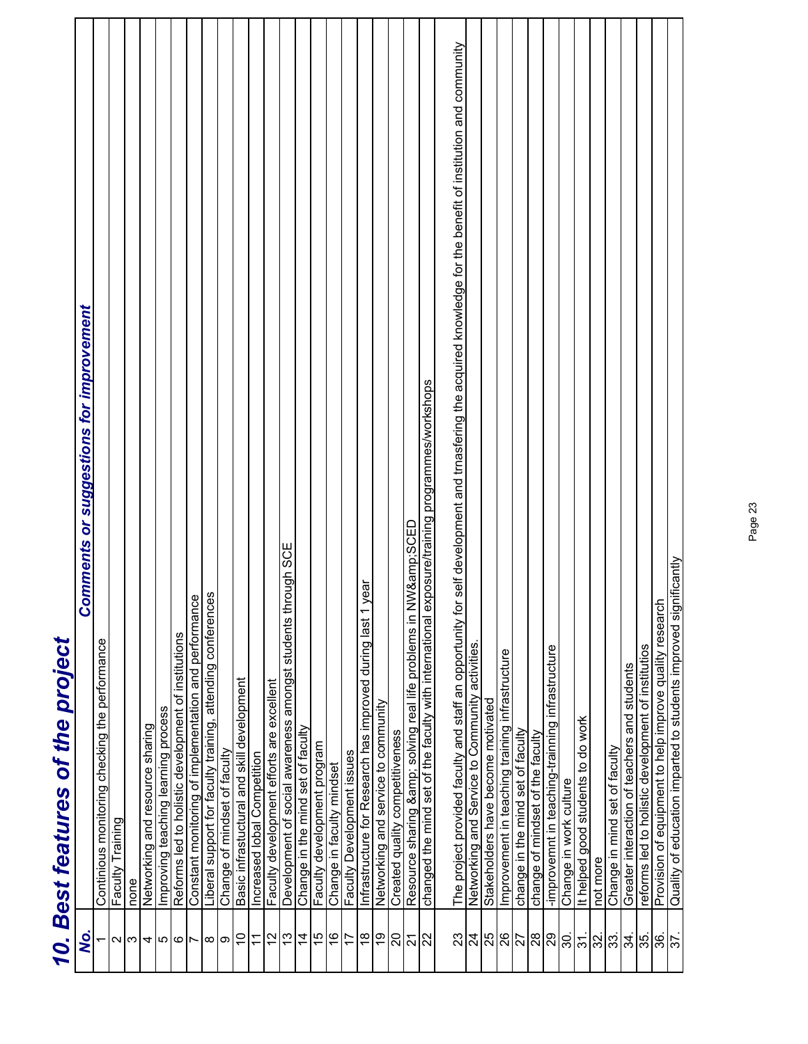|                              | Comments or sugge |
|------------------------------|-------------------|
| Best features of the project |                   |
| 10. L                        |                   |

|                       | 10. Best features of the project                                                                                                                               |
|-----------------------|----------------------------------------------------------------------------------------------------------------------------------------------------------------|
| <u>Ś</u> .            | <b>Comments or suggestions for improvement</b>                                                                                                                 |
|                       | Continious monitoring checking the performance                                                                                                                 |
| $\boldsymbol{\sim}$   | Faculty Training                                                                                                                                               |
| က                     | none                                                                                                                                                           |
| 4                     | Networking and resource sharing                                                                                                                                |
| 5                     | Improving teaching learning process                                                                                                                            |
| ဖ                     | Reforms led to holistic development of institutions                                                                                                            |
| $\overline{ }$        | Constant monitoring of implementation and performance                                                                                                          |
| ∞∣ာ                   | Liberal support for faculty training, attending conferences                                                                                                    |
|                       | Change of mindset of faculty                                                                                                                                   |
| $\overline{0}$        | Basic infrastuctural and skill development                                                                                                                     |
| $\tilde{\mathcal{L}}$ | Increased lobal Competition                                                                                                                                    |
| $\frac{2}{3}$         | Faculty development efforts are excellent                                                                                                                      |
| 13                    | Development of social awareness amongst students through SCE                                                                                                   |
| $\overline{4}$        | Change in the mind set of faculty                                                                                                                              |
| 15                    | Faculty development program                                                                                                                                    |
| $\frac{6}{5}$         | Change in faculty mindset                                                                                                                                      |
| 17                    | Faculty Development issues                                                                                                                                     |
| $\frac{8}{1}$         | year<br>$\overline{ }$<br>Infrastructure for Research has improved during last                                                                                 |
| စ္                    | Networking and service to community                                                                                                                            |
| 20                    | Created quality competitiveness                                                                                                                                |
| <u>ភន្</u>            | Resource sharing & solving real life problems in NW&SCED                                                                                                       |
|                       | changed the mind set of the faculty with international exposure/training programmes/workshops                                                                  |
| 23                    | The project provided faculty and staff an opportunity for self development and trnasfering the acquired knowledge for the benefit of institution and community |
| $\overline{24}$       |                                                                                                                                                                |
| 25                    | Networking and Service to Community activities.<br>Stakeholders have become motivated                                                                          |
| 26                    | Improvement in teaching training infrastructure                                                                                                                |
| 77                    | change in the mind set of faculty                                                                                                                              |
| $\frac{8}{20}$        | change of mindset of the faculty                                                                                                                               |
|                       | -improvemnt in teaching-trainning infrastructure                                                                                                               |
| <u>ခွ</u>             | Change in work culture                                                                                                                                         |
| 31.                   | It helped good students to do work                                                                                                                             |
| 32.                   | not more                                                                                                                                                       |
| $3\frac{1}{3}$        | Change in mind set of faculty                                                                                                                                  |
|                       | Greater interaction of teachers and students                                                                                                                   |
| န္ကုန္ကုန္            | reforms led to holistic development of institutios                                                                                                             |
|                       |                                                                                                                                                                |
|                       | Provision of equipment to help improve quality research<br>Quality of education imparted to students improved significantly                                    |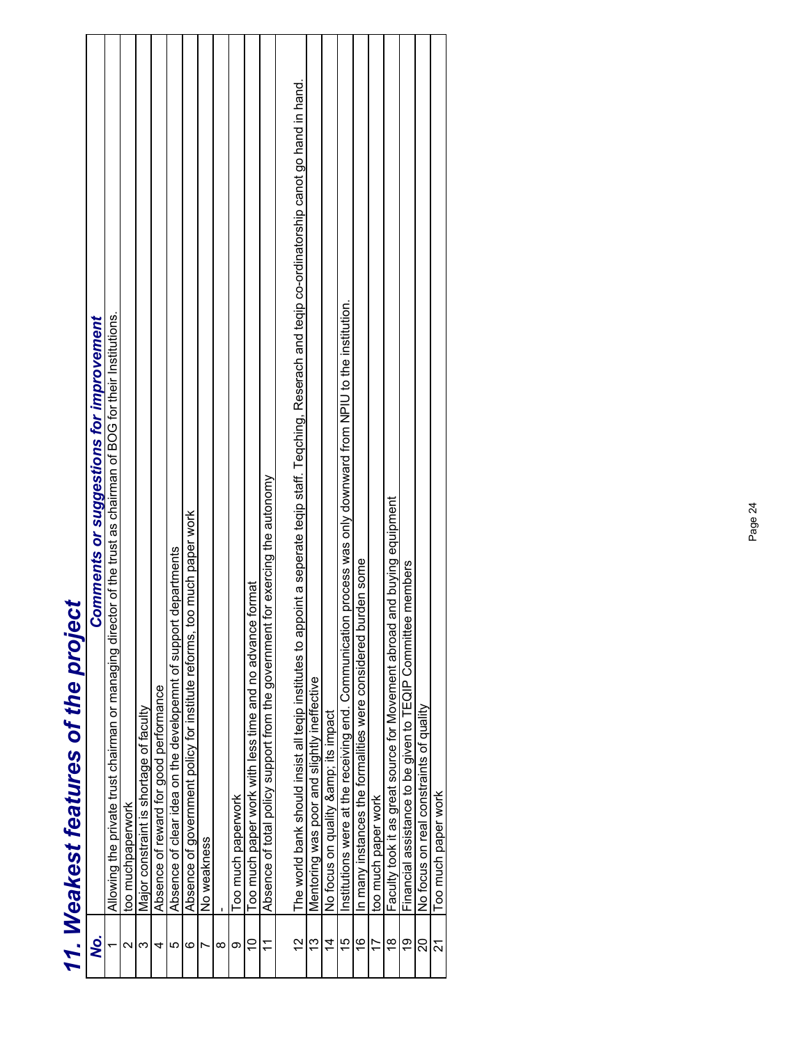| י בי ביש בי<br>しゅりょう                |
|-------------------------------------|
| ş<br>$\ddot{\phantom{0}}$<br>י<br>י |
| しんこうしい<br>$\frac{1}{2}$             |
| ļ                                   |
| Ì                                   |

|                          | 11. Weakest features of the project                                                                                                                       |
|--------------------------|-----------------------------------------------------------------------------------------------------------------------------------------------------------|
| Q.                       | <b>Comments or suggestions for improvement</b>                                                                                                            |
|                          | Allowing the private trust chairman or managing director of the trust as chairman of BOG for their Institutions.                                          |
| $\scriptstyle\mathtt{N}$ | too muchpaperwork                                                                                                                                         |
| ო                        | Major constraint is shortage of faculty                                                                                                                   |
| 4                        | Absence of reward for good performance                                                                                                                    |
| Ю                        | departments<br>Absence of clear idea on the developemnt of support                                                                                        |
| ဖ                        | Absence of government policy for institute reforms, too much paper work                                                                                   |
|                          | No weakness                                                                                                                                               |
| ∞                        |                                                                                                                                                           |
| တ                        | Too much paperwork                                                                                                                                        |
| $\overline{C}$           | Too much paper work with less time and no advance format                                                                                                  |
| $\tilde{\tau}$           | for exercing the autonomy<br>Absence of total policy support from the government                                                                          |
| $\frac{2}{3}$            | The world bank should insist all teqip institutes to appoint a seperate teqip staff. Teqching, Reserach and teqip co-ordinatorship canot go hand in hand. |
| $\frac{3}{2}$            | Mentoring was poor and slightly ineffective                                                                                                               |
| $\overline{4}$           | No focus on quality & its impact                                                                                                                          |
| 15                       | Institutions were at the receiving end. Communication process was only downward from NPIU to the institution.                                             |
| $\frac{6}{5}$            | urden some<br>In many instances the formalities were considered bu                                                                                        |
| 17                       | too much paper work                                                                                                                                       |
| $\frac{8}{1}$            | and buying equipment<br>Faculty took it as great source for Movement abroad                                                                               |
| <u>ဝ</u>                 | e members<br>Financial assistance to be given to TEQIP Committer                                                                                          |
| ຊ                        | No focus on real constraints of quality                                                                                                                   |
| ম                        | Too much paper work                                                                                                                                       |
|                          |                                                                                                                                                           |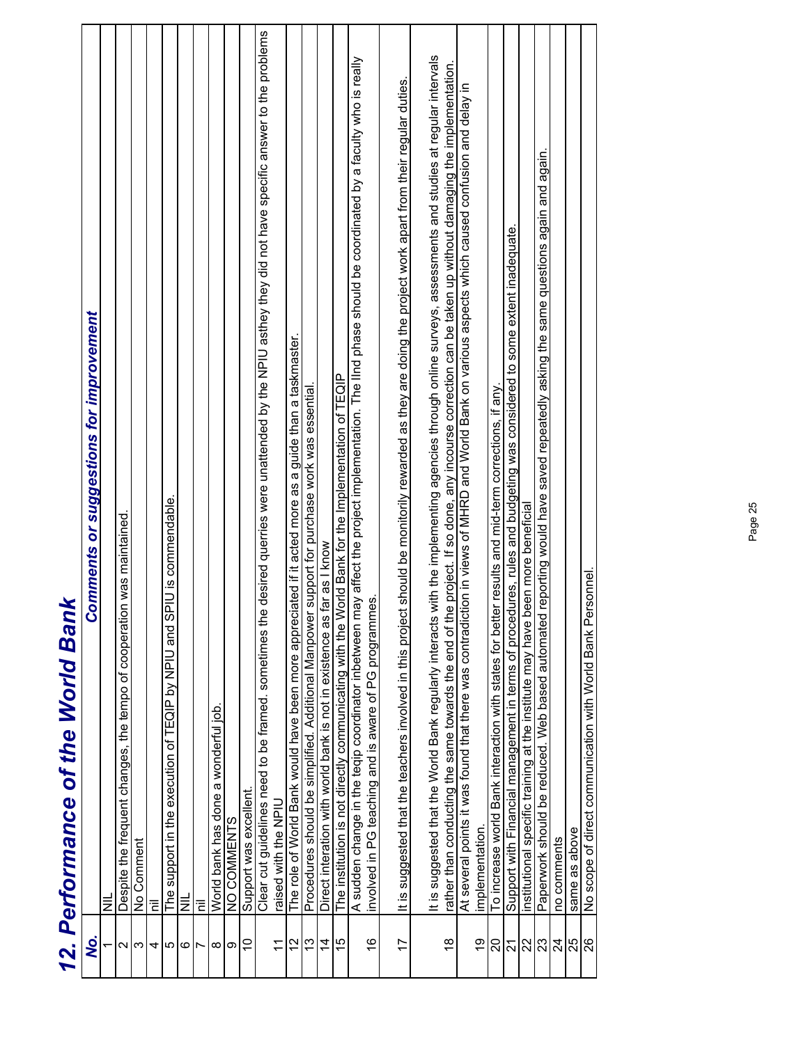|                   | 12. Perrormance of the World Bank                                                                                                                               |
|-------------------|-----------------------------------------------------------------------------------------------------------------------------------------------------------------|
| Q,                | <b>Comments or suggestions for improvement</b>                                                                                                                  |
|                   | ₹                                                                                                                                                               |
| $\mathbf{\Omega}$ | Despite the frequent changes, the tempo of cooperation was maintained.                                                                                          |
| S                 | No Comment                                                                                                                                                      |
| 41                | Έ                                                                                                                                                               |
| 5                 | support in the execution of TEQIP by NPIU and SPIU is commendable.<br>The <sup>1</sup>                                                                          |
|                   | $\equiv$                                                                                                                                                        |
| ⊙∣⊳               | έ                                                                                                                                                               |
| $\infty$          | World bank has done a wonderful job.                                                                                                                            |
| ၜ                 | NO COMMENTS                                                                                                                                                     |
| $\tilde{0}$       | Support was excellent.                                                                                                                                          |
|                   | e desired querries were unattended by the NPIU asthey they did not have specific answer to the problems<br>Clear cut guidelines need to be framed. sometimes th |
| $\tilde{\tau}$    | raised with the NPIU                                                                                                                                            |
| 2                 | The role of World Bank would have been more appreciated if it acted more as a guide than a taskmaster.                                                          |
| 13                | Procedures should be simplified. Additional Manpower support for purchase work was essential                                                                    |
| $\overline{4}$    | Direct interation with world bank is not in existence as far as I know                                                                                          |
| 15                | World Bank for the Implementation of TEQIP<br>The institution is not directly communicating with the                                                            |
|                   | may affect the project implementation. The lind phase should be coordinated by a faculty who is really<br>A sudden change in the teqip coordinator inbetween    |
| $\frac{6}{5}$     | mes.<br>involved in PG teaching and is aware of PG programi                                                                                                     |
|                   |                                                                                                                                                                 |
| $\overline{1}$    | It is suggested that the teachers involved in this project should be monitorily rewarded as they are doing the project work apart from their regular duties.    |
|                   |                                                                                                                                                                 |
|                   | It is suggested that the World Bank regularly interacts with the implementing agencies through online surveys, assessments and studies at regular intervals     |
| $\frac{8}{1}$     | rather than conducting the same towards the end of the project. If so done, any incourse correction can be taken up without damaging the implementation         |
|                   | ction in views of MHRD and World Bank on various aspects which caused confusion and delay in<br>At several points it was found that there was contradi-         |
| 6)                | implementation                                                                                                                                                  |
| 20                | To increase world Bank interaction with states for better results and mid-term corrections, if any                                                              |
| <u> ភន្</u>       | Support with Financial management in terms of procedures, rules and budgeting was considered to some extent inadequate.                                         |
|                   | institutional specific training at the institute may have been more beneficial                                                                                  |
| 23                | Paperwork should be reduced. Web based automated reporting would have saved repeatedly asking the same questions again and again.                               |
| $\frac{4}{3}$     | no comments                                                                                                                                                     |
|                   | same as above                                                                                                                                                   |
| $\frac{8}{8}$     | No scope of direct communication with World Bank Personnel.                                                                                                     |

#### Jued Mull Dutt *12. Performance of the World Bank*  $\overline{\mathbf{C}}$ K S C **Dorform**  $\frac{1}{2}$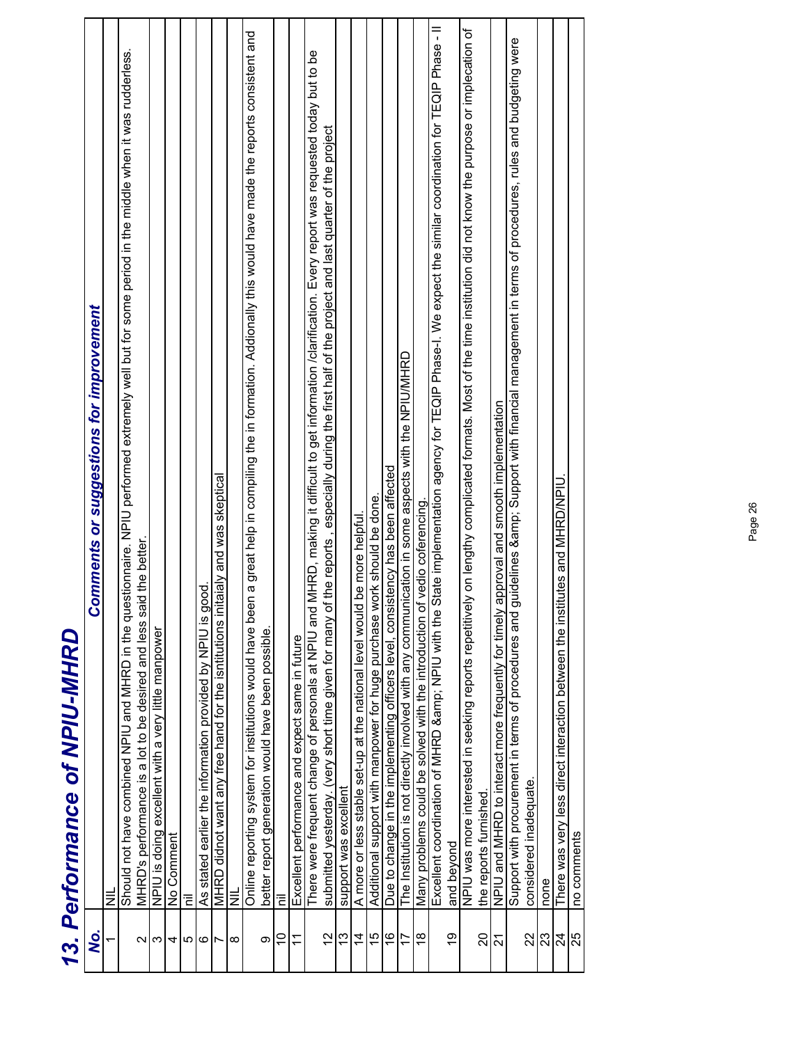|                 | בואווייסטו ושייסטו וש-יאני ווא                                                                                                                                                                                              |
|-----------------|-----------------------------------------------------------------------------------------------------------------------------------------------------------------------------------------------------------------------------|
| .<br>S          | <b>Comments or suggestions for improvement</b>                                                                                                                                                                              |
|                 | $\equiv$                                                                                                                                                                                                                    |
| И               | Should not have combined NPIU and MHRD in the questionnaire. NPIU performed extremely well but for some period in the middle when it was rudderless.<br>MHRD's performance is a lot to be desired and less said the better. |
| ω               | NPIU is doing excellent with a very little manpower                                                                                                                                                                         |
| 4               | Comment<br>$\frac{1}{2}$                                                                                                                                                                                                    |
| 5               | Έ                                                                                                                                                                                                                           |
| 6               | good.<br>As stated earlier the information provided by NPIU is                                                                                                                                                              |
| $\overline{ }$  | MHRD didnot want any free hand for the isntitutions initaialy and was skeptical                                                                                                                                             |
| $\infty$        | ШN                                                                                                                                                                                                                          |
|                 | Online reporting system for institutions would have been a great help in compiling the in formation. Addionally this would have made the reports consistent and                                                             |
| σ               | better report generation would have been possible.                                                                                                                                                                          |
| $\tilde{0}$     | ī                                                                                                                                                                                                                           |
| $\overline{1}$  | Excellent performance and expect same in future                                                                                                                                                                             |
|                 | There were frequent change of personals at NPIU and MHRD, making it difficult to get information /clarification. Every report was requested today but to be                                                                 |
| $\frac{2}{3}$   | , especially during the first half of the project and last quarter of the project<br>of the reports<br>submitted yesterday. (very short time given for many                                                                 |
| 13              | support was excellent                                                                                                                                                                                                       |
| $\overline{4}$  | d be more helpful<br>A more or less stable set-up at the national level woul                                                                                                                                                |
| 15              | work should be done<br>Additional support with manpower for huge purchase                                                                                                                                                   |
| $\frac{6}{5}$   | Due to change in the implementing officers level, consistency has been affected                                                                                                                                             |
| 17              | The Institution is not directly involved with any communication in some aspects with the NPIU/MHRD                                                                                                                          |
| $\frac{8}{1}$   | of vedio coferencing.<br>Many problems could be solved with the introduction                                                                                                                                                |
|                 | State implementation agency for TEQIP Phase-I. We expect the similar coordination for TEQIP Phase - II<br>Excellent coordination of MHRD & NPIU with the                                                                    |
| б.              | and beyond                                                                                                                                                                                                                  |
|                 | NPIU was more interested in seeking reports repetitively on lengthy complicated formats. Most of the time institution did not know the purpose or implecation of                                                            |
| $\Omega$        | the reports furnished.                                                                                                                                                                                                      |
| 21              | approval and smooth implementation<br>NPIU and MHRD to interact more frequently for timely                                                                                                                                  |
|                 | guidelines & Support with financial management in terms of procedures, rules and budgeting were<br>Support with procurement in terms of procedures and                                                                      |
| 22              | considered inadequate.                                                                                                                                                                                                      |
| 23              | none                                                                                                                                                                                                                        |
| $\overline{24}$ | There was very less direct interaction between the institutes and MHRD/NPIU                                                                                                                                                 |
| 25              | no comments                                                                                                                                                                                                                 |

# 13 Performance of NPIII-MHRD *13. Performance of NPIU-MHRD*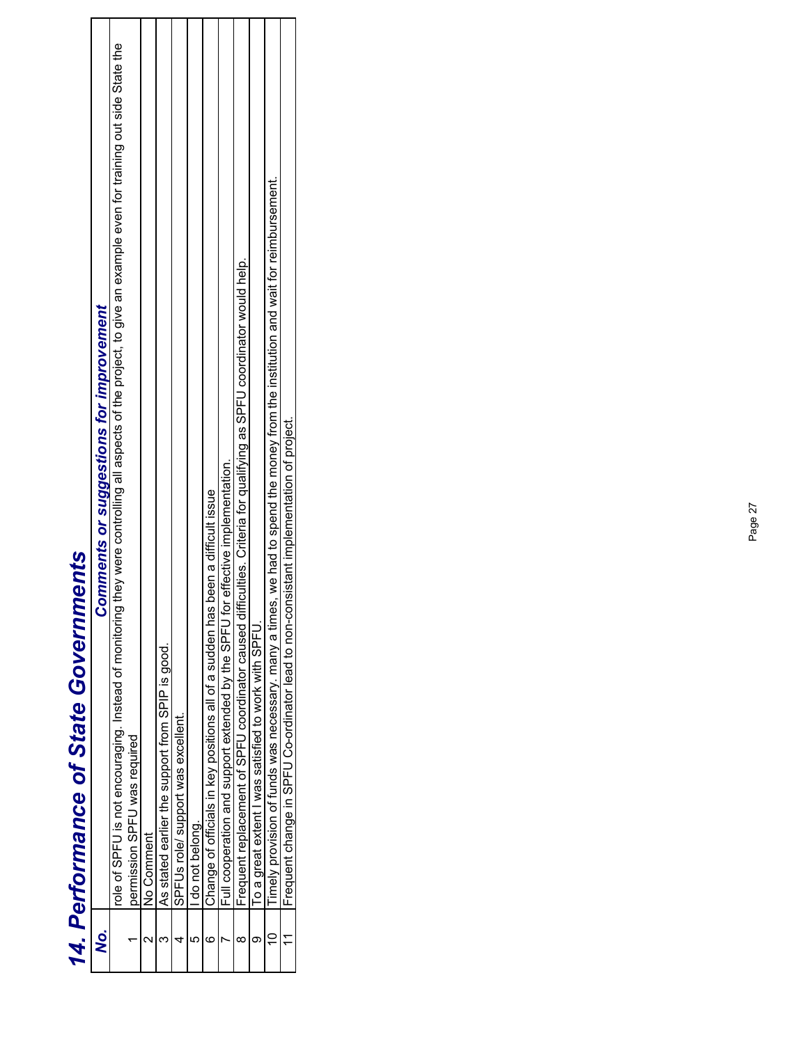|                | <b>14. Performance of State Governments</b>                                                                                                                |
|----------------|------------------------------------------------------------------------------------------------------------------------------------------------------------|
| χò.            | <b>Comments or suggestions for improvement</b>                                                                                                             |
|                | role of SPFU is not encouraging. Instead of monitoal of more controlling all aspects of the project, to give an example even for training out side the the |
|                | permission SPFU was required                                                                                                                               |
|                | No Comment                                                                                                                                                 |
|                | As stated earlier the support from SPIP is good.                                                                                                           |
|                | SPFUs role/ support was excellent                                                                                                                          |
|                | do not belong.                                                                                                                                             |
|                | Change of officials in key positions all of a sudden has been a difficult issue                                                                            |
|                | Full cooperation and support extended by the SPFU for effective implementation.                                                                            |
|                | fficulties. Criteria for qualifying as SPFU coordinator would help.<br>Frequent replacement of SPFU coordinator caused dit                                 |
|                | To a great extent I was satisfied to work with SPFU.                                                                                                       |
|                | Timely provision of funds was necessary, many a times, we had to spend the money from the institution and wait for reimbursement.                          |
| $\ddot{\cdot}$ | Frequent change in SPFU Co-ordinator lead to non-consistant implementation of project                                                                      |

### Page 27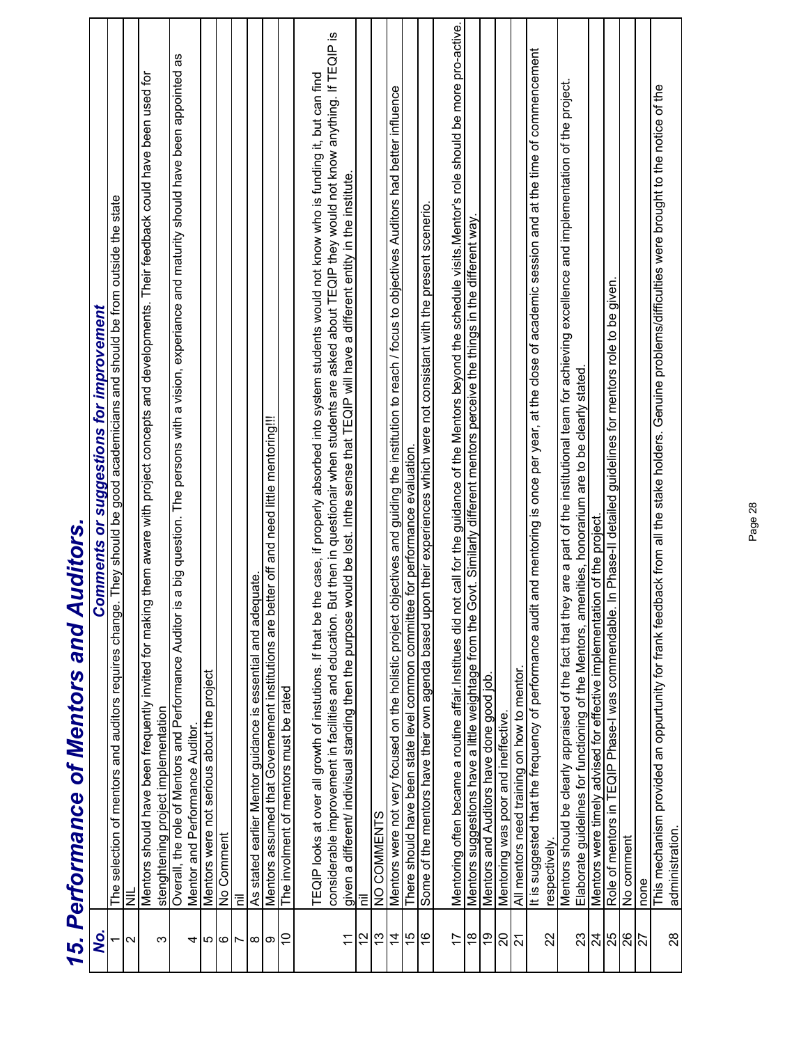|                   | 15. Performance of Mentors and Auditors.                                                                                                                                                        |
|-------------------|-------------------------------------------------------------------------------------------------------------------------------------------------------------------------------------------------|
| Q.                | <b>Comments or suggestions for improvement</b>                                                                                                                                                  |
|                   | The selection of mentors and auditors requires change. They should be good academicians and should be from outside the state                                                                    |
| $\mathbf{\Omega}$ | $\overline{\overline{z}}$                                                                                                                                                                       |
|                   | Mentors should have been frequently invited for making them aware with project concepts and developments. Their feedback could have been used for                                               |
| က                 |                                                                                                                                                                                                 |
|                   | stenghtening project implementation<br>Overall, the role of Mentors and Performance Auditor is a big question. The persons with a vision, experiance and maturity should have been appointed as |
| 4                 | Mentor and Performance Auditor                                                                                                                                                                  |
| 5                 | Mentors were not serious about the project                                                                                                                                                      |
| ဖ                 | No Comment                                                                                                                                                                                      |
| Ľ                 | Έ                                                                                                                                                                                               |
| $\infty$          | As stated earlier Mentor guidance is essential and adequate.                                                                                                                                    |
| ၜ                 | Mentors assumed that Governement institutions are better off and need little mentoring!!!                                                                                                       |
| $\overline{0}$    | The involment of mentors must be rated                                                                                                                                                          |
|                   |                                                                                                                                                                                                 |
|                   | TEQIP looks at over all growth of instutions. If that be the case, if properly absorbed into system students would not know who is funding it, but can find                                     |
|                   | considerable improvement in facilities and education. But then in questionair when students are asked about TEQIP they would not know anything. If TEQIP is                                     |
| $\overline{1}$    | given a different/ indivisual standing then the purpose would be lost. Inthe sense that TEQIP will have a different entity in the institute.                                                    |
| $\frac{2}{1}$     | Έ                                                                                                                                                                                               |
| 13                | NO COMMENTS                                                                                                                                                                                     |
| $\overline{4}$    | Mentors were not very focused on the holistic project objectives and guiding the institution to reach / focus to objectives Auditors had better influence                                       |
| 15                | There should have been state level common committee for performance evaluation.                                                                                                                 |
| $\frac{6}{5}$     | Some of the mentors have their own agenda based upon their experiences which were not consistant with the present scenerio.                                                                     |
| $\overline{1}$    | Mentoring often became a routine affair Institues did not call for the guidance of the Mentors beyond the schedule visits. Mentor's role should be more pro-active.                             |
| $\frac{8}{1}$     | Mentors suggestions have a little weightage from the Govt. Similarly different mentors perceive the things in the different way.                                                                |
| <u>စု</u>         | Mentors and Auditors have done good job                                                                                                                                                         |
| 20                | Mentoring was poor and ineffective.                                                                                                                                                             |
| $\overline{21}$   | All mentors need training on how to mentor                                                                                                                                                      |
|                   | and mentoring is once per year, at the close of academic session and at the time of commencement<br>It is suggested that the frequency of performance audit                                     |
| 22                | respectively                                                                                                                                                                                    |
|                   | Mentors should be clearly appraised of the fact that they are a part of the institutional team for achieving excellence and implementation of the project.                                      |
| 23                | Elaborate guidelines for functioning of the Mentors, amenities, honorarium are to be clearly stated.                                                                                            |
| 24                | Mentors were timely advised for effective implementation of the project                                                                                                                         |
|                   | In Phase-II detailed guidelines for mentors role to be given.<br>Role of mentors in TEQIP Phase-I was commendable.                                                                              |
| $\frac{8}{25}$    | No comment                                                                                                                                                                                      |
|                   | none                                                                                                                                                                                            |
| 28                | This mechanism provided an oppurtunity for frank feedback from all the stake holders. Genuine problems/difficulties were brought to the notice of the<br>administration                         |
|                   |                                                                                                                                                                                                 |